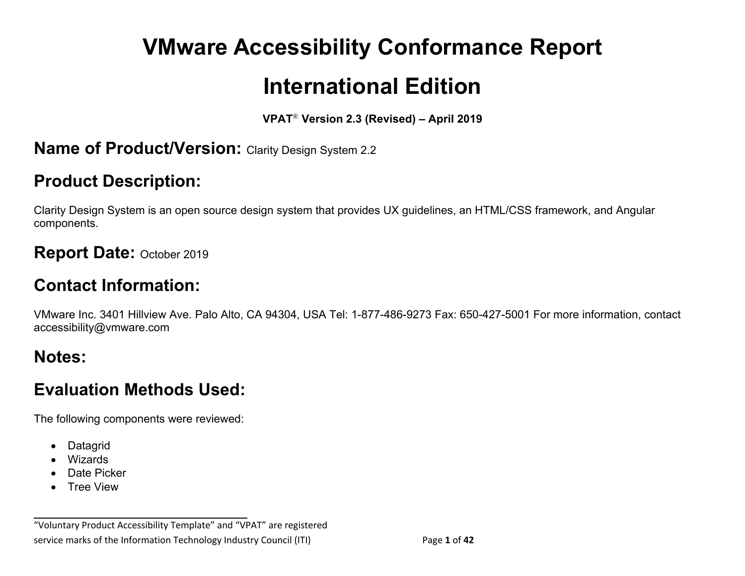# **VMware Accessibility Conformance Report International Edition**

#### **VPAT**® **Version 2.3 (Revised) – April 2019**

#### **Name of Product/Version: Clarity Design System 2.2**

# **Product Description:**

Clarity Design System is an open source design system that provides UX guidelines, an HTML/CSS framework, and Angular components.

#### **Report Date:** October <sup>2019</sup>

# **Contact Information:**

VMware Inc. 3401 Hillview Ave. Palo Alto, CA 94304, USA Tel: 1-877-486-9273 Fax: 650-427-5001 For more information, contact accessibility@vmware.com

# **Notes:**

# **Evaluation Methods Used:**

The following components were reviewed:

**\_\_\_\_\_\_\_\_\_\_\_\_\_\_\_\_\_\_\_\_\_\_\_\_\_\_\_\_\_\_\_\_\_\_**

- Datagrid
- Wizards
- Date Picker
- Tree View

"Voluntary Product Accessibility Template" and "VPAT" are registered service marks of the Information Technology Industry Council (ITI) Page **1** of **42**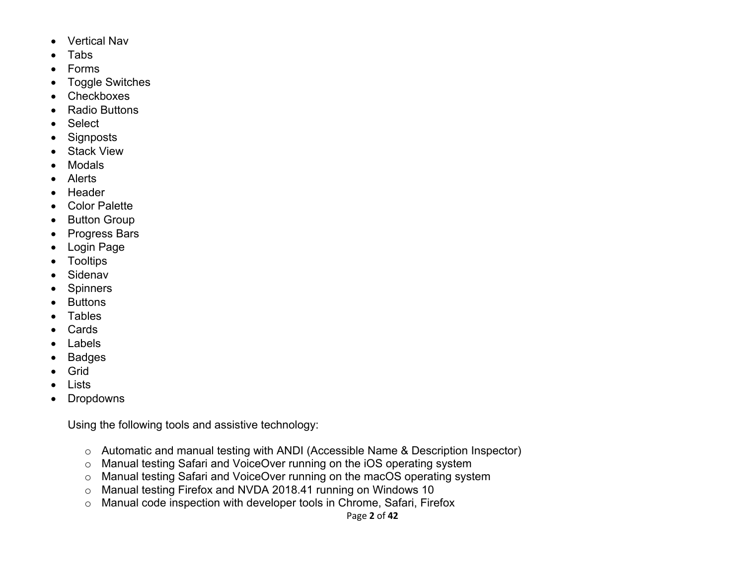- Vertical Nav
- Tabs
- Forms
- Toggle Switches
- Checkboxes
- Radio Buttons
- Select
- Signposts
- Stack View
- Modals
- Alerts
- Header
- Color Palette
- Button Group
- Progress Bars
- Login Page
- Tooltips
- Sidenav
- Spinners
- Buttons
- **Tables**
- Cards
- Labels
- Badges
- Grid
- Lists
- Dropdowns

Using the following tools and assistive technology:

- o Automatic and manual testing with ANDI (Accessible Name & Description Inspector)
- o Manual testing Safari and VoiceOver running on the iOS operating system
- o Manual testing Safari and VoiceOver running on the macOS operating system
- o Manual testing Firefox and NVDA 2018.41 running on Windows 10
- o Manual code inspection with developer tools in Chrome, Safari, Firefox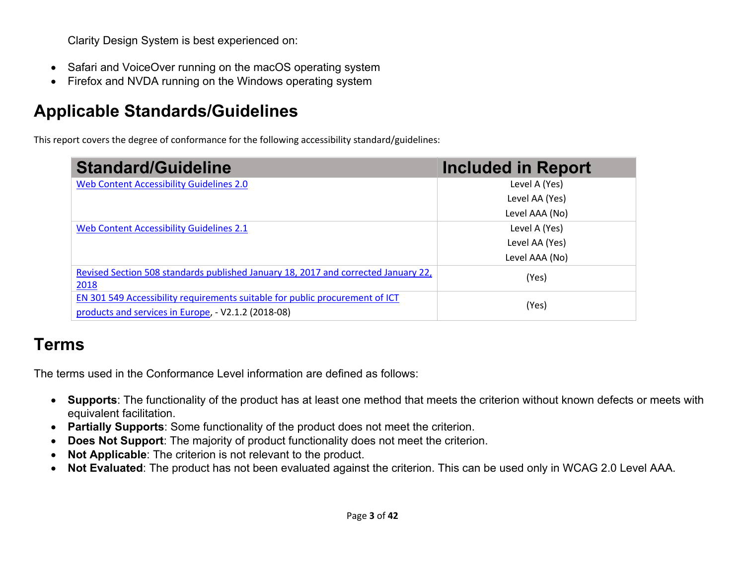Clarity Design System is best experienced on:

- Safari and VoiceOver running on the macOS operating system
- Firefox and NVDA running on the Windows operating system

# **Applicable Standards/Guidelines**

This report covers the degree of conformance for the following accessibility standard/guidelines:

| <b>Standard/Guideline</b>                                                          | <b>Included in Report</b> |
|------------------------------------------------------------------------------------|---------------------------|
| Web Content Accessibility Guidelines 2.0                                           | Level A (Yes)             |
|                                                                                    | Level AA (Yes)            |
|                                                                                    | Level AAA (No)            |
| Web Content Accessibility Guidelines 2.1                                           | Level A (Yes)             |
|                                                                                    | Level AA (Yes)            |
|                                                                                    | Level AAA (No)            |
| Revised Section 508 standards published January 18, 2017 and corrected January 22, | (Yes)                     |
| 2018                                                                               |                           |
| EN 301 549 Accessibility requirements suitable for public procurement of ICT       | (Yes)                     |
| products and services in Europe, - V2.1.2 (2018-08)                                |                           |

# **Terms**

The terms used in the Conformance Level information are defined as follows:

- **Supports**: The functionality of the product has at least one method that meets the criterion without known defects or meets with equivalent facilitation.
- **Partially Supports**: Some functionality of the product does not meet the criterion.
- **Does Not Support:** The majority of product functionality does not meet the criterion.
- **Not Applicable**: The criterion is not relevant to the product.
- **Not Evaluated**: The product has not been evaluated against the criterion. This can be used only in WCAG 2.0 Level AAA.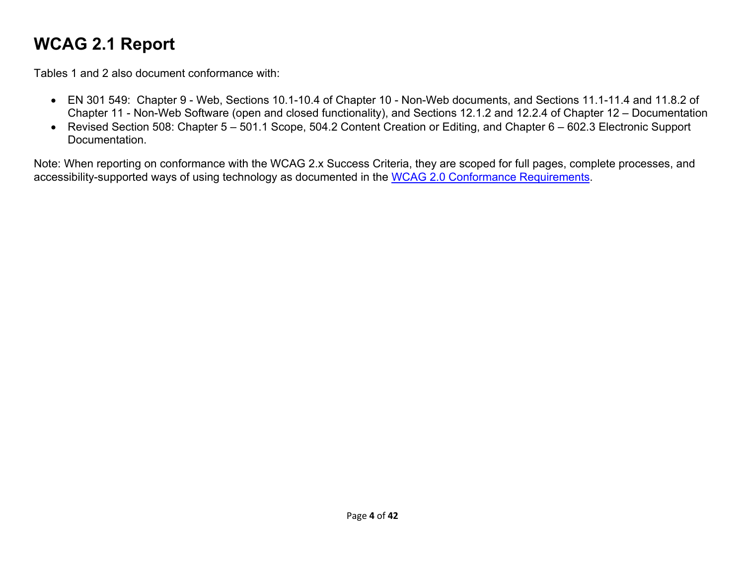# **WCAG 2.1 Report**

Tables 1 and 2 also document conformance with:

- EN 301 549: Chapter 9 Web, Sections 10.1-10.4 of Chapter 10 Non-Web documents, and Sections 11.1-11.4 and 11.8.2 of Chapter 11 - Non-Web Software (open and closed functionality), and Sections 12.1.2 and 12.2.4 of Chapter 12 – Documentation
- Revised Section 508: Chapter 5 501.1 Scope, 504.2 Content Creation or Editing, and Chapter 6 602.3 Electronic Support Documentation.

Note: When reporting on conformance with the WCAG 2.x Success Criteria, they are scoped for full pages, complete processes, and accessibility-supported ways of using technology as documented in the WCAG 2.0 Conformance Requirements.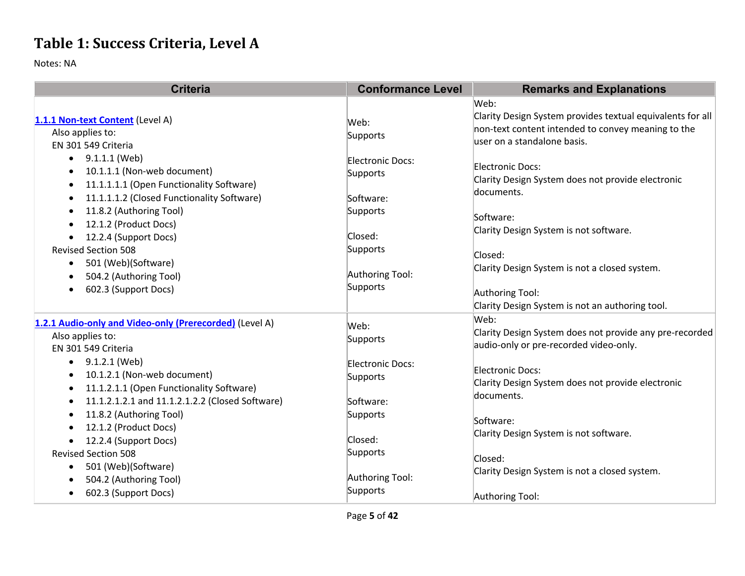# **Table 1: Success Criteria, Level A**

| <b>Criteria</b>                                                                                                                                                               | <b>Conformance Level</b>                  | <b>Remarks and Explanations</b>                                                                                                                         |
|-------------------------------------------------------------------------------------------------------------------------------------------------------------------------------|-------------------------------------------|---------------------------------------------------------------------------------------------------------------------------------------------------------|
| 1.1.1 Non-text Content (Level A)<br>Also applies to:<br>EN 301 549 Criteria                                                                                                   | Web:<br>Supports                          | Web:<br>Clarity Design System provides textual equivalents for all<br>non-text content intended to convey meaning to the<br>user on a standalone basis. |
| 9.1.1.1 (Web)<br>$\bullet$<br>10.1.1.1 (Non-web document)<br>11.1.1.1.1 (Open Functionality Software)<br>$\bullet$<br>11.1.1.1.2 (Closed Functionality Software)<br>$\bullet$ | Electronic Docs:<br>Supports<br>Software: | Electronic Docs:<br>Clarity Design System does not provide electronic<br>documents.                                                                     |
| 11.8.2 (Authoring Tool)<br>$\bullet$<br>12.1.2 (Product Docs)<br>٠<br>12.2.4 (Support Docs)<br>٠                                                                              | Supports<br>Closed:                       | Software:<br>Clarity Design System is not software.                                                                                                     |
| <b>Revised Section 508</b><br>501 (Web)(Software)<br>$\bullet$<br>504.2 (Authoring Tool)<br>602.3 (Support Docs)                                                              | Supports<br>Authoring Tool:<br>Supports   | Closed:<br>Clarity Design System is not a closed system.<br>Authoring Tool:<br>Clarity Design System is not an authoring tool.                          |
| 1.2.1 Audio-only and Video-only (Prerecorded) (Level A)<br>Also applies to:<br>EN 301 549 Criteria                                                                            | Web:<br>Supports                          | Web:<br>Clarity Design System does not provide any pre-recorded<br>audio-only or pre-recorded video-only.                                               |
| 9.1.2.1 (Web)<br>$\bullet$<br>10.1.2.1 (Non-web document)<br>11.1.2.1.1 (Open Functionality Software)<br>٠<br>11.1.2.1.2.1 and 11.1.2.1.2.2 (Closed Software)<br>$\bullet$    | Electronic Docs:<br>Supports<br>Software: | Electronic Docs:<br>Clarity Design System does not provide electronic<br>documents.                                                                     |
| 11.8.2 (Authoring Tool)<br>$\bullet$<br>12.1.2 (Product Docs)<br>12.2.4 (Support Docs)                                                                                        | Supports<br>Closed:                       | Software:<br>Clarity Design System is not software.                                                                                                     |
| <b>Revised Section 508</b><br>501 (Web)(Software)<br>504.2 (Authoring Tool)<br>602.3 (Support Docs)<br>$\bullet$                                                              | Supports<br>Authoring Tool:<br>Supports   | Closed:<br>Clarity Design System is not a closed system.<br>Authoring Tool:                                                                             |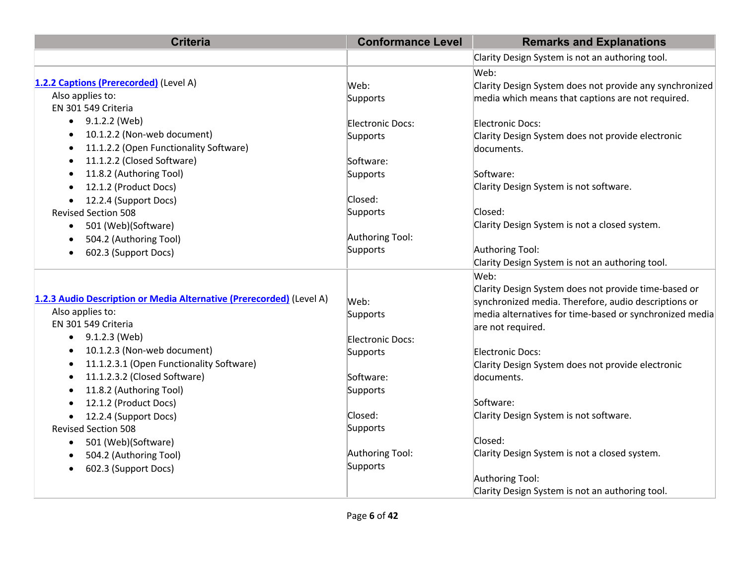| <b>Criteria</b>                                                      | <b>Conformance Level</b> | <b>Remarks and Explanations</b>                         |
|----------------------------------------------------------------------|--------------------------|---------------------------------------------------------|
|                                                                      |                          | Clarity Design System is not an authoring tool.         |
|                                                                      |                          | Web:                                                    |
| 1.2.2 Captions (Prerecorded) (Level A)                               | Web:                     | Clarity Design System does not provide any synchronized |
| Also applies to:                                                     | Supports                 | media which means that captions are not required.       |
| EN 301 549 Criteria                                                  |                          |                                                         |
| 9.1.2.2 (Web)<br>$\bullet$                                           | Electronic Docs:         | Electronic Docs:                                        |
| 10.1.2.2 (Non-web document)<br>$\bullet$                             | Supports                 | Clarity Design System does not provide electronic       |
| 11.1.2.2 (Open Functionality Software)<br>$\bullet$                  |                          | documents.                                              |
| 11.1.2.2 (Closed Software)<br>$\bullet$                              | Software:                |                                                         |
| 11.8.2 (Authoring Tool)<br>٠                                         | Supports                 | Software:                                               |
| 12.1.2 (Product Docs)<br>$\bullet$                                   |                          | Clarity Design System is not software.                  |
| 12.2.4 (Support Docs)                                                | Closed:                  |                                                         |
| <b>Revised Section 508</b>                                           | Supports                 | Closed:                                                 |
| 501 (Web)(Software)<br>$\bullet$                                     |                          | Clarity Design System is not a closed system.           |
| 504.2 (Authoring Tool)                                               | Authoring Tool:          |                                                         |
| 602.3 (Support Docs)<br>$\bullet$                                    | Supports                 | Authoring Tool:                                         |
|                                                                      |                          | Clarity Design System is not an authoring tool.         |
|                                                                      |                          | Web:                                                    |
|                                                                      |                          | Clarity Design System does not provide time-based or    |
| 1.2.3 Audio Description or Media Alternative (Prerecorded) (Level A) | Web:                     | synchronized media. Therefore, audio descriptions or    |
| Also applies to:                                                     | Supports                 | media alternatives for time-based or synchronized media |
| EN 301 549 Criteria                                                  |                          | are not required.                                       |
| 9.1.2.3 (Web)<br>$\bullet$                                           | Electronic Docs:         |                                                         |
| 10.1.2.3 (Non-web document)<br>$\bullet$                             | Supports                 | Electronic Docs:                                        |
| 11.1.2.3.1 (Open Functionality Software)<br>$\bullet$                |                          | Clarity Design System does not provide electronic       |
| 11.1.2.3.2 (Closed Software)<br>$\bullet$                            | Software:                | documents.                                              |
| 11.8.2 (Authoring Tool)<br>$\bullet$                                 | Supports                 |                                                         |
| 12.1.2 (Product Docs)                                                |                          | Software:                                               |
| 12.2.4 (Support Docs)<br>$\bullet$                                   | Closed:                  | Clarity Design System is not software.                  |
| <b>Revised Section 508</b>                                           | Supports                 |                                                         |
| 501 (Web)(Software)<br>$\bullet$                                     |                          | Closed:                                                 |
| 504.2 (Authoring Tool)<br>$\bullet$                                  | Authoring Tool:          | Clarity Design System is not a closed system.           |
| 602.3 (Support Docs)                                                 | Supports                 |                                                         |
|                                                                      |                          | Authoring Tool:                                         |
|                                                                      |                          | Clarity Design System is not an authoring tool.         |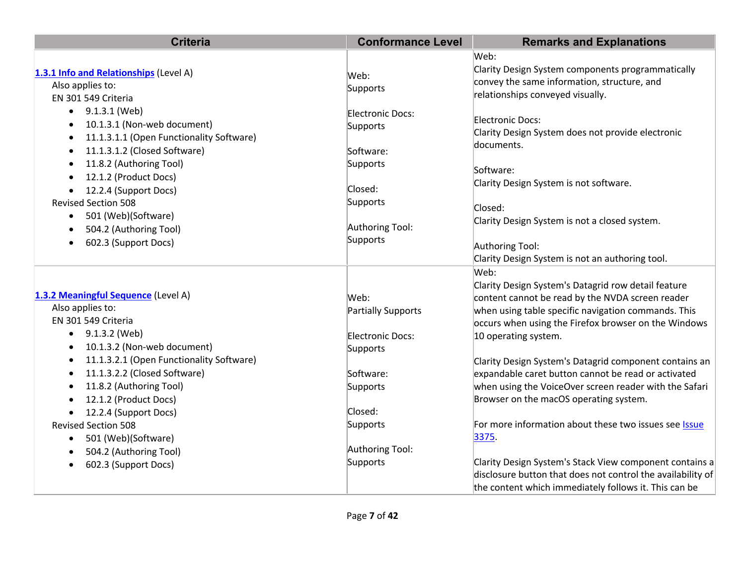| <b>Criteria</b>                                       | <b>Conformance Level</b>  | <b>Remarks and Explanations</b>                             |
|-------------------------------------------------------|---------------------------|-------------------------------------------------------------|
|                                                       |                           | Web:                                                        |
| 1.3.1 Info and Relationships (Level A)                | Web:                      | Clarity Design System components programmatically           |
| Also applies to:                                      | Supports                  | convey the same information, structure, and                 |
| EN 301 549 Criteria                                   |                           | relationships conveyed visually.                            |
| $\bullet$ 9.1.3.1 (Web)                               | Electronic Docs:          |                                                             |
| 10.1.3.1 (Non-web document)                           | Supports                  | Electronic Docs:                                            |
| 11.1.3.1.1 (Open Functionality Software)<br>$\bullet$ |                           | Clarity Design System does not provide electronic           |
| 11.1.3.1.2 (Closed Software)<br>$\bullet$             | Software:                 | documents.                                                  |
| 11.8.2 (Authoring Tool)<br>$\bullet$                  | Supports                  | Software:                                                   |
| 12.1.2 (Product Docs)                                 |                           | Clarity Design System is not software.                      |
| 12.2.4 (Support Docs)                                 | Closed:                   |                                                             |
| <b>Revised Section 508</b>                            | Supports                  | Closed:                                                     |
| 501 (Web)(Software)<br>$\bullet$                      |                           | Clarity Design System is not a closed system.               |
| 504.2 (Authoring Tool)                                | Authoring Tool:           |                                                             |
| 602.3 (Support Docs)                                  | Supports                  | Authoring Tool:                                             |
|                                                       |                           | Clarity Design System is not an authoring tool.             |
|                                                       |                           | Web:                                                        |
|                                                       |                           | Clarity Design System's Datagrid row detail feature         |
| 1.3.2 Meaningful Sequence (Level A)                   | Web:                      | content cannot be read by the NVDA screen reader            |
| Also applies to:                                      | <b>Partially Supports</b> | when using table specific navigation commands. This         |
| EN 301 549 Criteria                                   |                           | occurs when using the Firefox browser on the Windows        |
| 9.1.3.2 (Web)<br>$\bullet$                            | Electronic Docs:          | 10 operating system.                                        |
| 10.1.3.2 (Non-web document)<br>$\bullet$              | Supports                  |                                                             |
| 11.1.3.2.1 (Open Functionality Software)              |                           | Clarity Design System's Datagrid component contains an      |
| 11.1.3.2.2 (Closed Software)<br>$\bullet$             | Software:                 | expandable caret button cannot be read or activated         |
| 11.8.2 (Authoring Tool)                               | Supports                  | when using the VoiceOver screen reader with the Safari      |
| 12.1.2 (Product Docs)                                 |                           | Browser on the macOS operating system.                      |
| 12.2.4 (Support Docs)                                 | Closed:                   |                                                             |
| <b>Revised Section 508</b>                            | Supports                  | For more information about these two issues see Issue       |
| 501 (Web)(Software)<br>$\bullet$                      | Authoring Tool:           | 3375.                                                       |
| 504.2 (Authoring Tool)<br>$\bullet$                   | Supports                  | Clarity Design System's Stack View component contains a     |
| 602.3 (Support Docs)                                  |                           | disclosure button that does not control the availability of |
|                                                       |                           | the content which immediately follows it. This can be       |
|                                                       |                           |                                                             |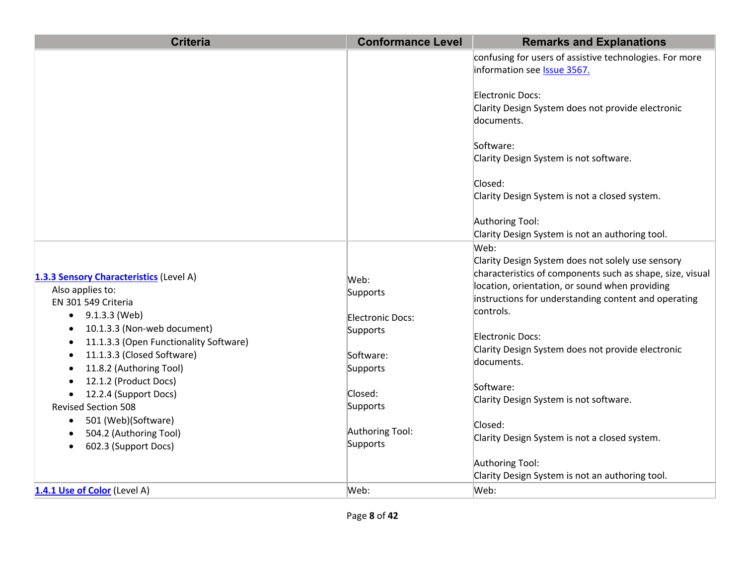| <b>Criteria</b>                                                                                         | <b>Conformance Level</b>        | <b>Remarks and Explanations</b>                                                                                        |
|---------------------------------------------------------------------------------------------------------|---------------------------------|------------------------------------------------------------------------------------------------------------------------|
|                                                                                                         |                                 | confusing for users of assistive technologies. For more<br>information see Issue 3567.                                 |
|                                                                                                         |                                 | Electronic Docs:<br>Clarity Design System does not provide electronic<br>documents.                                    |
|                                                                                                         |                                 | Software:<br>Clarity Design System is not software.                                                                    |
|                                                                                                         |                                 | Closed:<br>Clarity Design System is not a closed system.                                                               |
|                                                                                                         |                                 | Authoring Tool:<br>Clarity Design System is not an authoring tool.                                                     |
| 1.3.3 Sensory Characteristics (Level A)                                                                 | Web:                            | Web:<br>Clarity Design System does not solely use sensory<br>characteristics of components such as shape, size, visual |
| Also applies to:<br>EN 301 549 Criteria<br>$\bullet$ 9.1.3.3 (Web)                                      | Supports<br>Electronic Docs:    | location, orientation, or sound when providing<br>instructions for understanding content and operating<br>controls.    |
| 10.1.3.3 (Non-web document)<br>11.1.3.3 (Open Functionality Software)<br>11.1.3.3 (Closed Software)     | Supports<br>Software:           | Electronic Docs:<br>Clarity Design System does not provide electronic<br>documents.                                    |
| 11.8.2 (Authoring Tool)<br>12.1.2 (Product Docs)<br>12.2.4 (Support Docs)<br><b>Revised Section 508</b> | Supports<br>Closed:<br>Supports | Software:<br>Clarity Design System is not software.                                                                    |
| 501 (Web)(Software)<br>٠<br>504.2 (Authoring Tool)<br>$\bullet$<br>602.3 (Support Docs)                 | Authoring Tool:<br>Supports     | Closed:<br>Clarity Design System is not a closed system.                                                               |
|                                                                                                         |                                 | Authoring Tool:<br>Clarity Design System is not an authoring tool.                                                     |
| 1.4.1 Use of Color (Level A)                                                                            | Web:                            | Web:                                                                                                                   |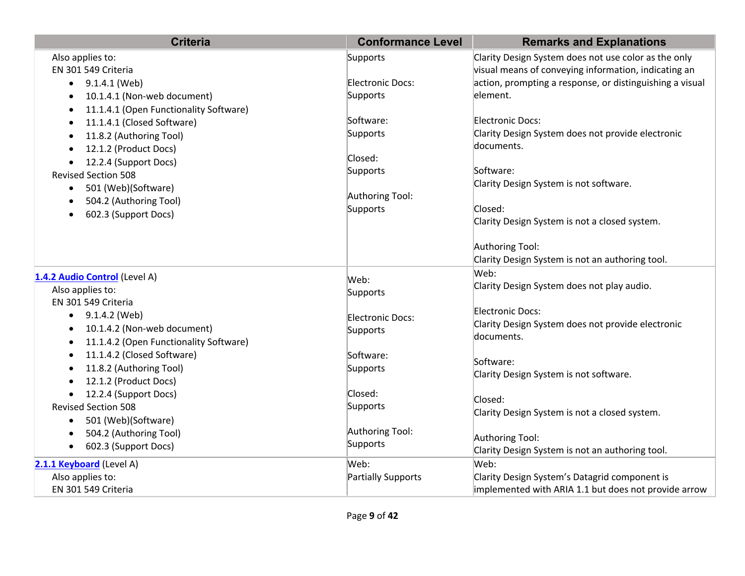| <b>Criteria</b>                             | <b>Conformance Level</b> | <b>Remarks and Explanations</b>                          |
|---------------------------------------------|--------------------------|----------------------------------------------------------|
| Also applies to:                            | Supports                 | Clarity Design System does not use color as the only     |
| EN 301 549 Criteria                         |                          | visual means of conveying information, indicating an     |
| 9.1.4.1 (Web)                               | Electronic Docs:         | action, prompting a response, or distinguishing a visual |
| 10.1.4.1 (Non-web document)                 | Supports                 | element.                                                 |
| 11.1.4.1 (Open Functionality Software)      |                          |                                                          |
| 11.1.4.1 (Closed Software)<br>$\bullet$     | Software:                | <b>Electronic Docs:</b>                                  |
| 11.8.2 (Authoring Tool)<br>$\bullet$        | Supports                 | Clarity Design System does not provide electronic        |
| 12.1.2 (Product Docs)<br>$\bullet$          |                          | documents.                                               |
| 12.2.4 (Support Docs)                       | Closed:                  |                                                          |
| <b>Revised Section 508</b>                  | Supports                 | Software:                                                |
| 501 (Web)(Software)<br>$\bullet$            |                          | Clarity Design System is not software.                   |
| 504.2 (Authoring Tool)                      | Authoring Tool:          |                                                          |
| 602.3 (Support Docs)<br>$\bullet$           | Supports                 | Closed:                                                  |
|                                             |                          | Clarity Design System is not a closed system.            |
|                                             |                          | Authoring Tool:                                          |
|                                             |                          | Clarity Design System is not an authoring tool.          |
|                                             |                          | Web:                                                     |
| 1.4.2 Audio Control (Level A)               | Web:                     | Clarity Design System does not play audio.               |
| Also applies to:                            | Supports                 |                                                          |
| EN 301 549 Criteria                         |                          | Electronic Docs:                                         |
| $\bullet$ 9.1.4.2 (Web)                     | Electronic Docs:         | Clarity Design System does not provide electronic        |
| 10.1.4.2 (Non-web document)<br>$\bullet$    | Supports                 | documents.                                               |
| 11.1.4.2 (Open Functionality Software)<br>٠ |                          |                                                          |
| 11.1.4.2 (Closed Software)<br>$\bullet$     | Software:                | Software:                                                |
| 11.8.2 (Authoring Tool)                     | Supports                 | Clarity Design System is not software.                   |
| 12.1.2 (Product Docs)                       |                          |                                                          |
| 12.2.4 (Support Docs)                       | Closed:                  | Closed:                                                  |
| <b>Revised Section 508</b>                  | Supports                 | Clarity Design System is not a closed system.            |
| 501 (Web)(Software)<br>$\bullet$            |                          |                                                          |
| 504.2 (Authoring Tool)<br>$\bullet$         | Authoring Tool:          | Authoring Tool:                                          |
| 602.3 (Support Docs)<br>$\bullet$           | Supports                 | Clarity Design System is not an authoring tool.          |
| 2.1.1 Keyboard (Level A)                    | Web:                     | Web:                                                     |
| Also applies to:                            | Partially Supports       | Clarity Design System's Datagrid component is            |
| EN 301 549 Criteria                         |                          | implemented with ARIA 1.1 but does not provide arrow     |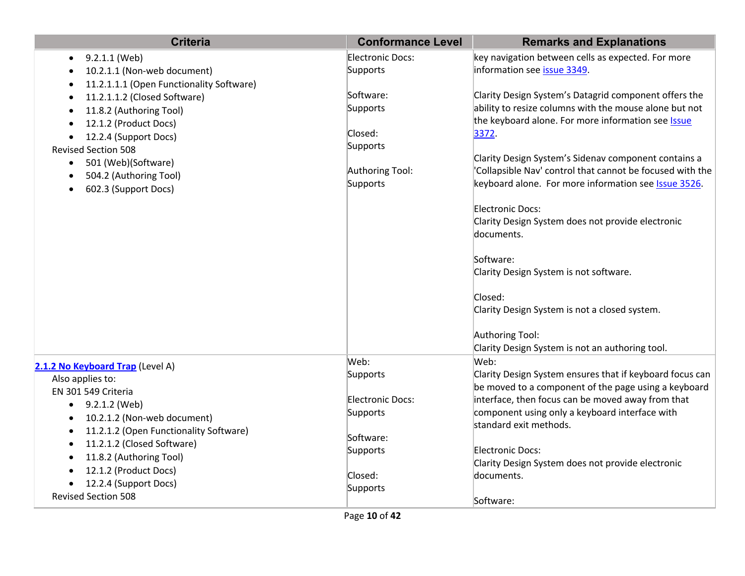| <b>Criteria</b>                                                                    | <b>Conformance Level</b> | <b>Remarks and Explanations</b>                              |
|------------------------------------------------------------------------------------|--------------------------|--------------------------------------------------------------|
| 9.2.1.1 (Web)<br>$\bullet$                                                         | Electronic Docs:         | key navigation between cells as expected. For more           |
| 10.2.1.1 (Non-web document)                                                        | Supports                 | information see issue 3349.                                  |
| 11.2.1.1.1 (Open Functionality Software)                                           |                          |                                                              |
| 11.2.1.1.2 (Closed Software)                                                       | Software:                | Clarity Design System's Datagrid component offers the        |
| 11.8.2 (Authoring Tool)                                                            | Supports                 | ability to resize columns with the mouse alone but not       |
| 12.1.2 (Product Docs)                                                              |                          | the keyboard alone. For more information see Issue           |
| 12.2.4 (Support Docs)                                                              | Closed:<br>Supports      | 3372.                                                        |
| <b>Revised Section 508</b>                                                         |                          | Clarity Design System's Sidenav component contains a         |
| 501 (Web)(Software)<br>$\bullet$                                                   | Authoring Tool:          | 'Collapsible Nav' control that cannot be focused with the    |
| 504.2 (Authoring Tool)                                                             | Supports                 | keyboard alone. For more information see <b>Issue 3526</b> . |
| 602.3 (Support Docs)                                                               |                          |                                                              |
|                                                                                    |                          | <b>Electronic Docs:</b>                                      |
|                                                                                    |                          | Clarity Design System does not provide electronic            |
|                                                                                    |                          | documents.                                                   |
|                                                                                    |                          |                                                              |
|                                                                                    |                          | Software:                                                    |
|                                                                                    |                          | Clarity Design System is not software.                       |
|                                                                                    |                          |                                                              |
|                                                                                    |                          | Closed:                                                      |
|                                                                                    |                          | Clarity Design System is not a closed system.                |
|                                                                                    |                          | Authoring Tool:                                              |
|                                                                                    |                          | Clarity Design System is not an authoring tool.              |
|                                                                                    | Web:                     | Web:                                                         |
| 2.1.2 No Keyboard Trap (Level A)                                                   | Supports                 | Clarity Design System ensures that if keyboard focus can     |
| Also applies to:                                                                   |                          | be moved to a component of the page using a keyboard         |
| EN 301 549 Criteria                                                                | Electronic Docs:         | interface, then focus can be moved away from that            |
| $\bullet$ 9.2.1.2 (Web)                                                            | Supports                 | component using only a keyboard interface with               |
| 10.2.1.2 (Non-web document)<br>$\bullet$<br>11.2.1.2 (Open Functionality Software) |                          | standard exit methods.                                       |
| $\bullet$<br>11.2.1.2 (Closed Software)<br>$\bullet$                               | Software:                |                                                              |
| 11.8.2 (Authoring Tool)                                                            | Supports                 | <b>Electronic Docs:</b>                                      |
| 12.1.2 (Product Docs)                                                              |                          | Clarity Design System does not provide electronic            |
| 12.2.4 (Support Docs)                                                              | Closed:                  | documents.                                                   |
| <b>Revised Section 508</b>                                                         | Supports                 |                                                              |
|                                                                                    |                          | Software:                                                    |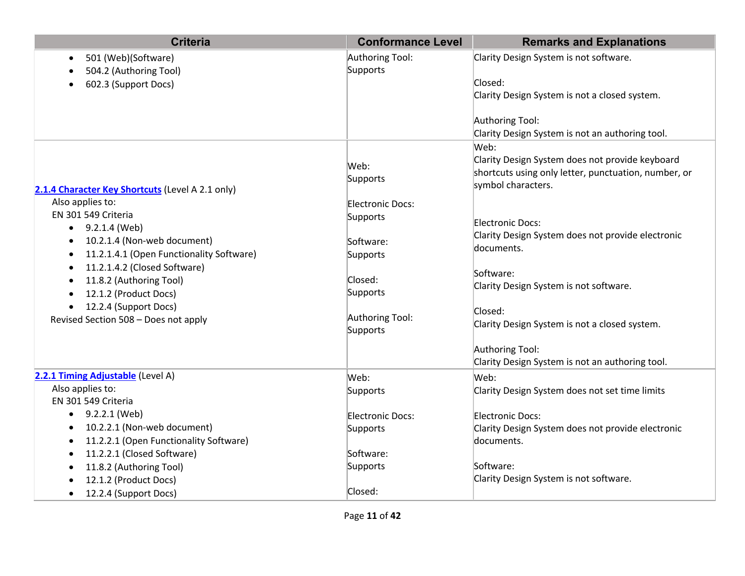| <b>Criteria</b>                                                                                                                                                             | <b>Conformance Level</b>                              | <b>Remarks and Explanations</b>                                                                                                       |
|-----------------------------------------------------------------------------------------------------------------------------------------------------------------------------|-------------------------------------------------------|---------------------------------------------------------------------------------------------------------------------------------------|
| 501 (Web)(Software)<br>$\bullet$<br>504.2 (Authoring Tool)<br>602.3 (Support Docs)                                                                                          | Authoring Tool:<br>Supports                           | Clarity Design System is not software.<br>Closed:<br>Clarity Design System is not a closed system.                                    |
|                                                                                                                                                                             |                                                       | Authoring Tool:<br>Clarity Design System is not an authoring tool.                                                                    |
| 2.1.4 Character Key Shortcuts (Level A 2.1 only)                                                                                                                            | Web:<br>Supports                                      | Web:<br>Clarity Design System does not provide keyboard<br>shortcuts using only letter, punctuation, number, or<br>symbol characters. |
| Also applies to:<br>EN 301 549 Criteria<br>$\bullet$ 9.2.1.4 (Web)<br>10.2.1.4 (Non-web document)<br>11.2.1.4.1 (Open Functionality Software)                               | Electronic Docs:<br>Supports<br>Software:<br>Supports | Electronic Docs:<br>Clarity Design System does not provide electronic<br>documents.                                                   |
| 11.2.1.4.2 (Closed Software)<br>$\bullet$<br>11.8.2 (Authoring Tool)<br>12.1.2 (Product Docs)<br>12.2.4 (Support Docs)<br>$\bullet$<br>Revised Section 508 - Does not apply | Closed:<br>Supports<br>Authoring Tool:                | Software:<br>Clarity Design System is not software.<br>Closed:<br>Clarity Design System is not a closed system.                       |
|                                                                                                                                                                             | Supports                                              | Authoring Tool:<br>Clarity Design System is not an authoring tool.                                                                    |
| 2.2.1 Timing Adjustable (Level A)<br>Also applies to:<br>EN 301 549 Criteria                                                                                                | Web:<br>Supports                                      | Web:<br>Clarity Design System does not set time limits                                                                                |
| 9.2.2.1 (Web)<br>10.2.2.1 (Non-web document)<br>11.2.2.1 (Open Functionality Software)                                                                                      | Electronic Docs:<br>Supports                          | Electronic Docs:<br>Clarity Design System does not provide electronic<br>documents.                                                   |
| 11.2.2.1 (Closed Software)<br>11.8.2 (Authoring Tool)<br>12.1.2 (Product Docs)<br>12.2.4 (Support Docs)                                                                     | Software:<br>Supports<br>Closed:                      | Software:<br>Clarity Design System is not software.                                                                                   |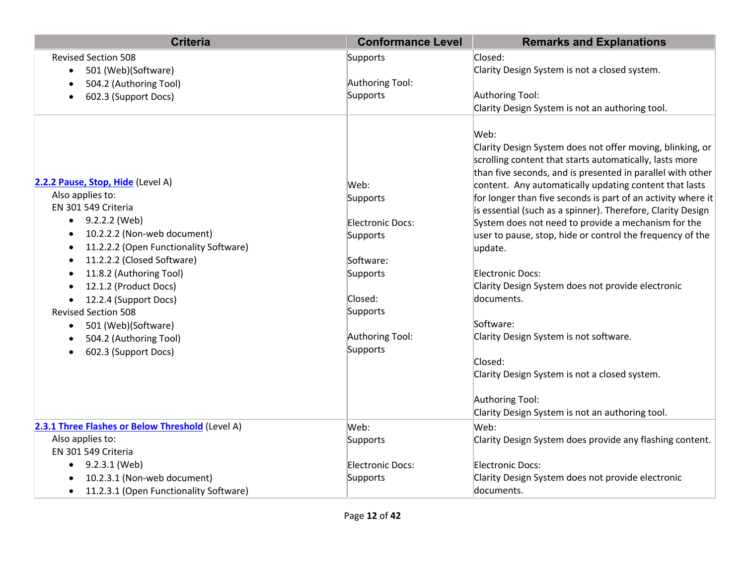| <b>Criteria</b>                                     | <b>Conformance Level</b> | <b>Remarks and Explanations</b>                                                                                                                                                                                                                      |
|-----------------------------------------------------|--------------------------|------------------------------------------------------------------------------------------------------------------------------------------------------------------------------------------------------------------------------------------------------|
| <b>Revised Section 508</b>                          | Supports                 | Closed:                                                                                                                                                                                                                                              |
| 501 (Web)(Software)<br>$\bullet$                    |                          | Clarity Design System is not a closed system.                                                                                                                                                                                                        |
| 504.2 (Authoring Tool)                              | Authoring Tool:          |                                                                                                                                                                                                                                                      |
| 602.3 (Support Docs)                                | Supports                 | Authoring Tool:                                                                                                                                                                                                                                      |
|                                                     |                          | Clarity Design System is not an authoring tool.                                                                                                                                                                                                      |
| 2.2.2 Pause, Stop, Hide (Level A)                   | Web:                     | Web:<br>Clarity Design System does not offer moving, blinking, or<br>scrolling content that starts automatically, lasts more<br>than five seconds, and is presented in parallel with other<br>content. Any automatically updating content that lasts |
| Also applies to:                                    | Supports                 | for longer than five seconds is part of an activity where it                                                                                                                                                                                         |
| EN 301 549 Criteria                                 |                          | is essential (such as a spinner). Therefore, Clarity Design                                                                                                                                                                                          |
| 9.2.2.2 (Web)<br>$\bullet$                          | Electronic Docs:         | System does not need to provide a mechanism for the                                                                                                                                                                                                  |
| 10.2.2.2 (Non-web document)                         | Supports                 | user to pause, stop, hide or control the frequency of the                                                                                                                                                                                            |
| 11.2.2.2 (Open Functionality Software)<br>$\bullet$ |                          | update.                                                                                                                                                                                                                                              |
| 11.2.2.2 (Closed Software)                          | Software:                |                                                                                                                                                                                                                                                      |
| 11.8.2 (Authoring Tool)                             | Supports                 | Electronic Docs:                                                                                                                                                                                                                                     |
| 12.1.2 (Product Docs)                               |                          | Clarity Design System does not provide electronic                                                                                                                                                                                                    |
| 12.2.4 (Support Docs)                               | Closed:                  | documents.                                                                                                                                                                                                                                           |
| <b>Revised Section 508</b>                          | Supports                 |                                                                                                                                                                                                                                                      |
| 501 (Web)(Software)<br>$\bullet$                    |                          | Software:                                                                                                                                                                                                                                            |
| 504.2 (Authoring Tool)                              | Authoring Tool:          | Clarity Design System is not software.                                                                                                                                                                                                               |
| 602.3 (Support Docs)<br>$\bullet$                   | Supports                 | Closed:                                                                                                                                                                                                                                              |
|                                                     |                          | Clarity Design System is not a closed system.                                                                                                                                                                                                        |
|                                                     |                          |                                                                                                                                                                                                                                                      |
|                                                     |                          | Authoring Tool:                                                                                                                                                                                                                                      |
|                                                     |                          | Clarity Design System is not an authoring tool.                                                                                                                                                                                                      |
| 2.3.1 Three Flashes or Below Threshold (Level A)    | Web:                     | Web:                                                                                                                                                                                                                                                 |
| Also applies to:                                    | Supports                 | Clarity Design System does provide any flashing content.                                                                                                                                                                                             |
| EN 301 549 Criteria                                 |                          |                                                                                                                                                                                                                                                      |
| 9.2.3.1 (Web)<br>$\bullet$                          | Electronic Docs:         | Electronic Docs:                                                                                                                                                                                                                                     |
| 10.2.3.1 (Non-web document)                         | Supports                 | Clarity Design System does not provide electronic                                                                                                                                                                                                    |
| 11.2.3.1 (Open Functionality Software)<br>$\bullet$ |                          | documents.                                                                                                                                                                                                                                           |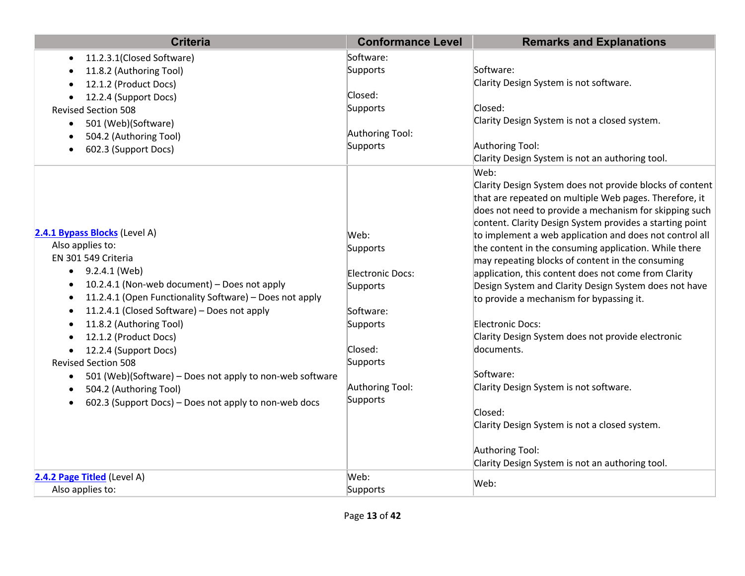| <b>Criteria</b>                                                       | <b>Conformance Level</b> | <b>Remarks and Explanations</b>                                                                                  |
|-----------------------------------------------------------------------|--------------------------|------------------------------------------------------------------------------------------------------------------|
| 11.2.3.1(Closed Software)<br>$\bullet$                                | Software:                |                                                                                                                  |
| 11.8.2 (Authoring Tool)<br>$\bullet$                                  | Supports                 | Software:                                                                                                        |
| 12.1.2 (Product Docs)<br>٠                                            |                          | Clarity Design System is not software.                                                                           |
| 12.2.4 (Support Docs)<br>$\bullet$                                    | Closed:                  |                                                                                                                  |
| <b>Revised Section 508</b>                                            | Supports                 | Closed:                                                                                                          |
| 501 (Web)(Software)<br>$\bullet$                                      |                          | Clarity Design System is not a closed system.                                                                    |
| 504.2 (Authoring Tool)                                                | Authoring Tool:          |                                                                                                                  |
| 602.3 (Support Docs)<br>$\bullet$                                     | Supports                 | Authoring Tool:                                                                                                  |
|                                                                       |                          | Clarity Design System is not an authoring tool.                                                                  |
|                                                                       |                          | Web:                                                                                                             |
|                                                                       |                          | Clarity Design System does not provide blocks of content                                                         |
|                                                                       |                          | that are repeated on multiple Web pages. Therefore, it                                                           |
|                                                                       |                          | does not need to provide a mechanism for skipping such                                                           |
| 2.4.1 Bypass Blocks (Level A)                                         | Web:                     | content. Clarity Design System provides a starting point                                                         |
| Also applies to:                                                      |                          | to implement a web application and does not control all<br>the content in the consuming application. While there |
| EN 301 549 Criteria                                                   | Supports                 | may repeating blocks of content in the consuming                                                                 |
| 9.2.4.1 (Web)<br>$\bullet$                                            | Electronic Docs:         | application, this content does not come from Clarity                                                             |
| 10.2.4.1 (Non-web document) - Does not apply<br>$\bullet$             | Supports                 | Design System and Clarity Design System does not have                                                            |
| 11.2.4.1 (Open Functionality Software) - Does not apply<br>$\bullet$  |                          | to provide a mechanism for bypassing it.                                                                         |
| 11.2.4.1 (Closed Software) - Does not apply<br>$\bullet$              | Software:                |                                                                                                                  |
| 11.8.2 (Authoring Tool)<br>$\bullet$                                  | Supports                 | Electronic Docs:                                                                                                 |
| 12.1.2 (Product Docs)<br>٠                                            |                          | Clarity Design System does not provide electronic                                                                |
| 12.2.4 (Support Docs)<br>$\bullet$                                    | Closed:                  | documents.                                                                                                       |
| <b>Revised Section 508</b>                                            | Supports                 |                                                                                                                  |
| 501 (Web)(Software) - Does not apply to non-web software<br>$\bullet$ |                          | Software:                                                                                                        |
| 504.2 (Authoring Tool)<br>$\bullet$                                   | Authoring Tool:          | Clarity Design System is not software.                                                                           |
| 602.3 (Support Docs) – Does not apply to non-web docs                 | Supports                 |                                                                                                                  |
|                                                                       |                          | Closed:                                                                                                          |
|                                                                       |                          | Clarity Design System is not a closed system.                                                                    |
|                                                                       |                          | Authoring Tool:                                                                                                  |
|                                                                       |                          | Clarity Design System is not an authoring tool.                                                                  |
| 2.4.2 Page Titled (Level A)                                           | Web:                     |                                                                                                                  |
| Also applies to:                                                      | Supports                 | Web:                                                                                                             |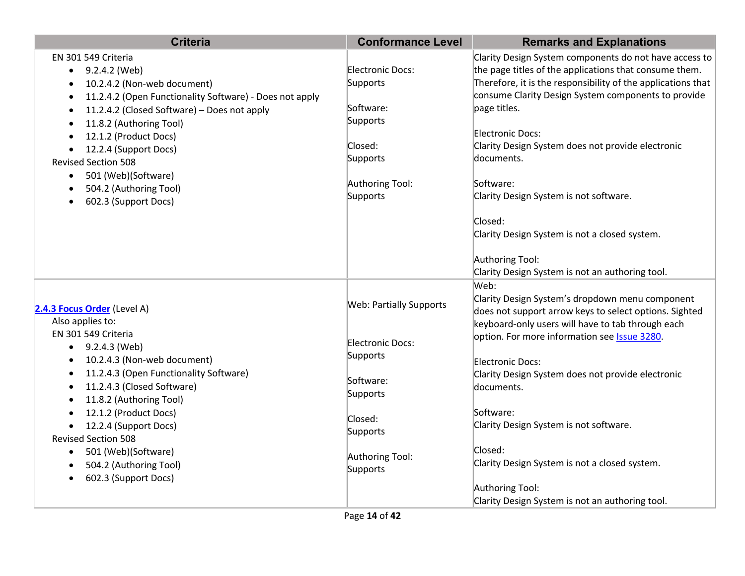| <b>Criteria</b>                                                                                                                                                                                                                                                                                                                                                                                 | <b>Conformance Level</b>                                                                                                                      | <b>Remarks and Explanations</b>                                                                                                                                                                                                                                                                                                                                                                                                                                                                                                                                                      |
|-------------------------------------------------------------------------------------------------------------------------------------------------------------------------------------------------------------------------------------------------------------------------------------------------------------------------------------------------------------------------------------------------|-----------------------------------------------------------------------------------------------------------------------------------------------|--------------------------------------------------------------------------------------------------------------------------------------------------------------------------------------------------------------------------------------------------------------------------------------------------------------------------------------------------------------------------------------------------------------------------------------------------------------------------------------------------------------------------------------------------------------------------------------|
| EN 301 549 Criteria<br>9.2.4.2 (Web)<br>$\bullet$<br>10.2.4.2 (Non-web document)<br>11.2.4.2 (Open Functionality Software) - Does not apply<br>11.2.4.2 (Closed Software) - Does not apply<br>11.8.2 (Authoring Tool)<br>12.1.2 (Product Docs)<br>12.2.4 (Support Docs)<br><b>Revised Section 508</b><br>501 (Web)(Software)<br>$\bullet$<br>504.2 (Authoring Tool)<br>602.3 (Support Docs)     | Electronic Docs:<br>Supports<br>Software:<br>Supports<br>Closed:<br>Supports<br>Authoring Tool:<br>Supports                                   | Clarity Design System components do not have access to<br>the page titles of the applications that consume them.<br>Therefore, it is the responsibility of the applications that<br>consume Clarity Design System components to provide<br>page titles.<br>Electronic Docs:<br>Clarity Design System does not provide electronic<br>documents.<br>Software:<br>Clarity Design System is not software.<br>Closed:<br>Clarity Design System is not a closed system.                                                                                                                    |
| 2.4.3 Focus Order (Level A)<br>Also applies to:<br>EN 301 549 Criteria<br>9.2.4.3 (Web)<br>10.2.4.3 (Non-web document)<br>11.2.4.3 (Open Functionality Software)<br>11.2.4.3 (Closed Software)<br>11.8.2 (Authoring Tool)<br>12.1.2 (Product Docs)<br>12.2.4 (Support Docs)<br><b>Revised Section 508</b><br>501 (Web)(Software)<br>$\bullet$<br>504.2 (Authoring Tool)<br>602.3 (Support Docs) | <b>Web: Partially Supports</b><br>Electronic Docs:<br>Supports<br>Software:<br>Supports<br>Closed:<br>Supports<br>Authoring Tool:<br>Supports | Authoring Tool:<br>Clarity Design System is not an authoring tool.<br>Web:<br>Clarity Design System's dropdown menu component<br>does not support arrow keys to select options. Sighted<br>keyboard-only users will have to tab through each<br>option. For more information see <b>Issue 3280</b> .<br>Electronic Docs:<br>Clarity Design System does not provide electronic<br>documents.<br>Software:<br>Clarity Design System is not software.<br>Closed:<br>Clarity Design System is not a closed system.<br>Authoring Tool:<br>Clarity Design System is not an authoring tool. |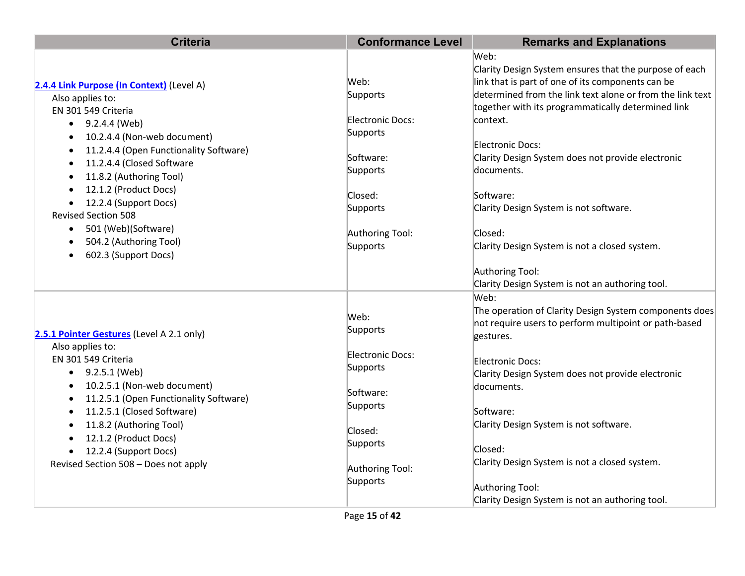| <b>Criteria</b>                                                                 | <b>Conformance Level</b>    | <b>Remarks and Explanations</b>                                                                                                      |
|---------------------------------------------------------------------------------|-----------------------------|--------------------------------------------------------------------------------------------------------------------------------------|
|                                                                                 |                             | Web:<br>Clarity Design System ensures that the purpose of each                                                                       |
| 2.4.4 Link Purpose (In Context) (Level A)                                       | Web:                        | link that is part of one of its components can be                                                                                    |
| Also applies to:                                                                | Supports                    | determined from the link text alone or from the link text                                                                            |
| EN 301 549 Criteria                                                             |                             | together with its programmatically determined link                                                                                   |
| 9.2.4.4 (Web)<br>$\bullet$                                                      | Electronic Docs:            | context.                                                                                                                             |
| 10.2.4.4 (Non-web document)<br>$\bullet$                                        | Supports                    |                                                                                                                                      |
| 11.2.4.4 (Open Functionality Software)<br>$\bullet$                             | Software:                   | Electronic Docs:<br>Clarity Design System does not provide electronic                                                                |
| 11.2.4.4 (Closed Software<br>$\bullet$                                          | Supports                    | documents.                                                                                                                           |
| 11.8.2 (Authoring Tool)<br>$\bullet$                                            |                             |                                                                                                                                      |
| 12.1.2 (Product Docs)<br>$\bullet$                                              | Closed:                     | Software:                                                                                                                            |
| 12.2.4 (Support Docs)<br>$\bullet$                                              | Supports                    | Clarity Design System is not software.                                                                                               |
| <b>Revised Section 508</b>                                                      |                             |                                                                                                                                      |
| 501 (Web)(Software)<br>$\bullet$                                                | Authoring Tool:             | Closed:                                                                                                                              |
| 504.2 (Authoring Tool)<br>٠<br>602.3 (Support Docs)<br>$\bullet$                | Supports                    | Clarity Design System is not a closed system.                                                                                        |
|                                                                                 |                             | Authoring Tool:                                                                                                                      |
|                                                                                 |                             | Clarity Design System is not an authoring tool.                                                                                      |
| 2.5.1 Pointer Gestures (Level A 2.1 only)<br>Also applies to:                   | Web:<br>Supports            | Web:<br>The operation of Clarity Design System components does<br>not require users to perform multipoint or path-based<br>gestures. |
| EN 301 549 Criteria                                                             | Electronic Docs:            | Electronic Docs:                                                                                                                     |
| 9.2.5.1 (Web)<br>$\bullet$                                                      | Supports                    | Clarity Design System does not provide electronic                                                                                    |
| 10.2.5.1 (Non-web document)<br>٠<br>11.2.5.1 (Open Functionality Software)<br>٠ | Software:                   | documents.                                                                                                                           |
| 11.2.5.1 (Closed Software)<br>٠                                                 | Supports                    | Software:                                                                                                                            |
| 11.8.2 (Authoring Tool)<br>$\bullet$                                            |                             | Clarity Design System is not software.                                                                                               |
| 12.1.2 (Product Docs)<br>$\bullet$                                              | Closed:                     |                                                                                                                                      |
| 12.2.4 (Support Docs)                                                           | Supports                    | Closed:                                                                                                                              |
| Revised Section 508 - Does not apply                                            | Authoring Tool:<br>Supports | Clarity Design System is not a closed system.                                                                                        |
|                                                                                 |                             | Authoring Tool:                                                                                                                      |
|                                                                                 |                             | Clarity Design System is not an authoring tool.                                                                                      |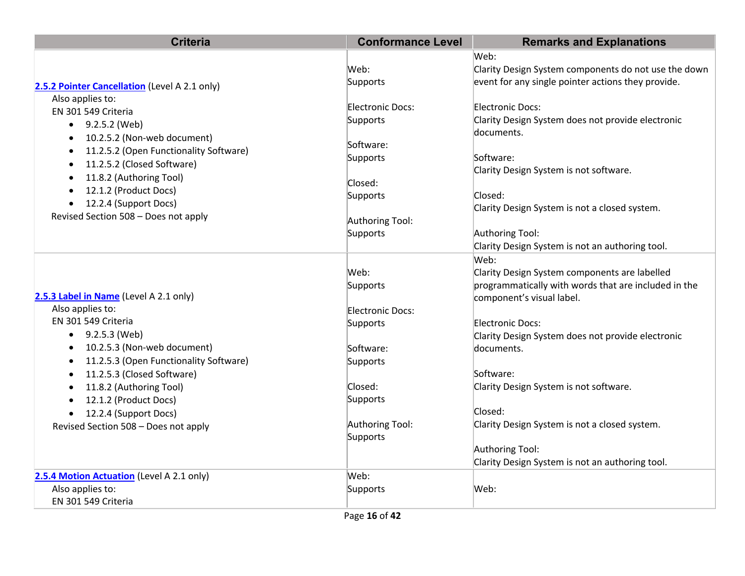| <b>Criteria</b>                                     | <b>Conformance Level</b>    | <b>Remarks and Explanations</b>                      |
|-----------------------------------------------------|-----------------------------|------------------------------------------------------|
|                                                     |                             | Web:                                                 |
|                                                     | Web:                        | Clarity Design System components do not use the down |
| 2.5.2 Pointer Cancellation (Level A 2.1 only)       | Supports                    | event for any single pointer actions they provide.   |
| Also applies to:                                    |                             |                                                      |
| EN 301 549 Criteria                                 | Electronic Docs:            | Electronic Docs:                                     |
| 9.2.5.2 (Web)<br>$\bullet$                          | Supports                    | Clarity Design System does not provide electronic    |
| 10.2.5.2 (Non-web document)<br>$\bullet$            |                             | documents.                                           |
| 11.2.5.2 (Open Functionality Software)<br>$\bullet$ | Software:                   | Software:                                            |
| 11.2.5.2 (Closed Software)<br>$\bullet$             | Supports                    | Clarity Design System is not software.               |
| 11.8.2 (Authoring Tool)<br>$\bullet$                | Closed:                     |                                                      |
| 12.1.2 (Product Docs)<br>$\bullet$                  | Supports                    | Closed:                                              |
| 12.2.4 (Support Docs)<br>$\bullet$                  |                             | Clarity Design System is not a closed system.        |
| Revised Section 508 - Does not apply                | Authoring Tool:             |                                                      |
|                                                     | Supports                    | Authoring Tool:                                      |
|                                                     |                             | Clarity Design System is not an authoring tool.      |
|                                                     |                             | Web:                                                 |
|                                                     | Web:                        | Clarity Design System components are labelled        |
|                                                     | Supports                    | programmatically with words that are included in the |
| 2.5.3 Label in Name (Level A 2.1 only)              |                             | component's visual label.                            |
| Also applies to:                                    | Electronic Docs:            |                                                      |
| EN 301 549 Criteria                                 | Supports                    | <b>Electronic Docs:</b>                              |
| 9.2.5.3 (Web)                                       |                             | Clarity Design System does not provide electronic    |
| 10.2.5.3 (Non-web document)<br>$\bullet$            | Software:                   | documents.                                           |
| 11.2.5.3 (Open Functionality Software)<br>$\bullet$ | Supports                    |                                                      |
| 11.2.5.3 (Closed Software)<br>$\bullet$             |                             | Software:                                            |
| 11.8.2 (Authoring Tool)                             | Closed:                     | Clarity Design System is not software.               |
| 12.1.2 (Product Docs)<br>$\bullet$                  | Supports                    |                                                      |
| 12.2.4 (Support Docs)<br>$\bullet$                  |                             | Closed:                                              |
| Revised Section 508 - Does not apply                | Authoring Tool:<br>Supports | Clarity Design System is not a closed system.        |
|                                                     |                             | Authoring Tool:                                      |
|                                                     |                             | Clarity Design System is not an authoring tool.      |
| 2.5.4 Motion Actuation (Level A 2.1 only)           | Web:                        |                                                      |
| Also applies to:                                    | Supports                    | Web:                                                 |
| EN 301 549 Criteria                                 |                             |                                                      |
|                                                     |                             |                                                      |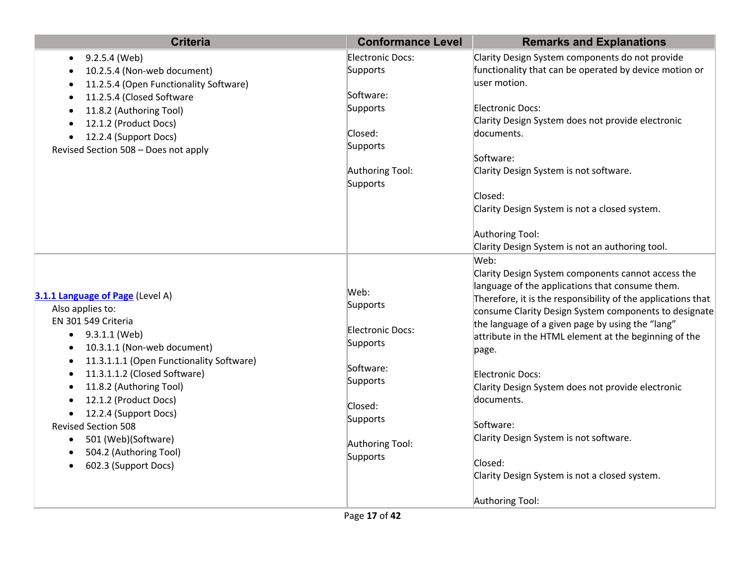| <b>Criteria</b>                                                                                                                                                                                                                                                                                                                                                                                          | <b>Conformance Level</b>                                                                                                        | <b>Remarks and Explanations</b>                                                                                                                                                                                                                                                                                                                                                                                                                                                                                                                                                                                                                     |
|----------------------------------------------------------------------------------------------------------------------------------------------------------------------------------------------------------------------------------------------------------------------------------------------------------------------------------------------------------------------------------------------------------|---------------------------------------------------------------------------------------------------------------------------------|-----------------------------------------------------------------------------------------------------------------------------------------------------------------------------------------------------------------------------------------------------------------------------------------------------------------------------------------------------------------------------------------------------------------------------------------------------------------------------------------------------------------------------------------------------------------------------------------------------------------------------------------------------|
| 9.2.5.4 (Web)<br>$\bullet$<br>10.2.5.4 (Non-web document)<br>11.2.5.4 (Open Functionality Software)<br>11.2.5.4 (Closed Software<br>11.8.2 (Authoring Tool)<br>12.1.2 (Product Docs)<br>12.2.4 (Support Docs)<br>Revised Section 508 - Does not apply                                                                                                                                                    | Electronic Docs:<br>Supports<br>Software:<br>Supports<br>Closed:<br>Supports<br>Authoring Tool:<br>Supports                     | Clarity Design System components do not provide<br>functionality that can be operated by device motion or<br>user motion.<br>Electronic Docs:<br>Clarity Design System does not provide electronic<br>documents.<br>Software:<br>Clarity Design System is not software.<br>Closed:<br>Clarity Design System is not a closed system.<br>Authoring Tool:                                                                                                                                                                                                                                                                                              |
| 3.1.1 Language of Page (Level A)<br>Also applies to:<br>EN 301 549 Criteria<br>9.3.1.1 (Web)<br>10.3.1.1 (Non-web document)<br>11.3.1.1.1 (Open Functionality Software)<br>11.3.1.1.2 (Closed Software)<br>11.8.2 (Authoring Tool)<br>12.1.2 (Product Docs)<br>12.2.4 (Support Docs)<br><b>Revised Section 508</b><br>501 (Web)(Software)<br>$\bullet$<br>504.2 (Authoring Tool)<br>602.3 (Support Docs) | Web:<br>Supports<br>Electronic Docs:<br>Supports<br>Software:<br>Supports<br>Closed:<br>Supports<br>Authoring Tool:<br>Supports | Clarity Design System is not an authoring tool.<br>Web:<br>Clarity Design System components cannot access the<br>language of the applications that consume them.<br>Therefore, it is the responsibility of the applications that<br>consume Clarity Design System components to designate<br>the language of a given page by using the "lang"<br>attribute in the HTML element at the beginning of the<br>page.<br><b>Electronic Docs:</b><br>Clarity Design System does not provide electronic<br>documents.<br>Software:<br>Clarity Design System is not software.<br>Closed:<br>Clarity Design System is not a closed system.<br>Authoring Tool: |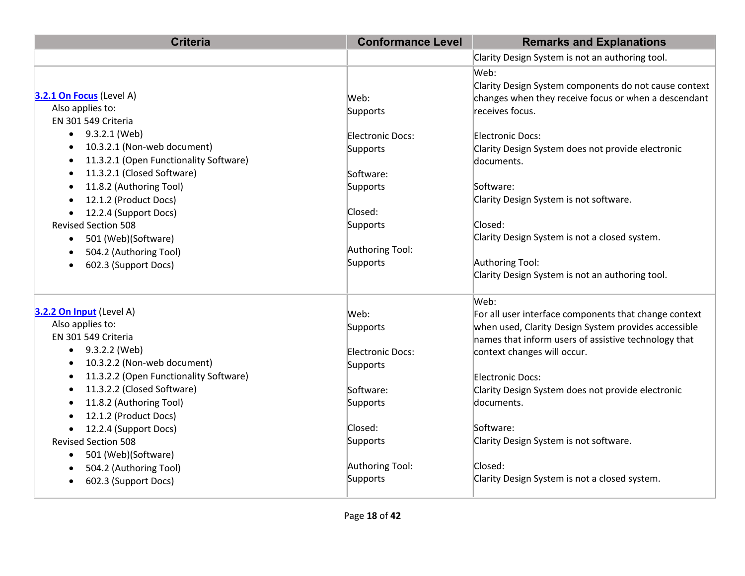| <b>Criteria</b>                                     | <b>Conformance Level</b> | <b>Remarks and Explanations</b>                       |
|-----------------------------------------------------|--------------------------|-------------------------------------------------------|
|                                                     |                          | Clarity Design System is not an authoring tool.       |
|                                                     |                          | Web:                                                  |
|                                                     |                          | Clarity Design System components do not cause context |
| 3.2.1 On Focus (Level A)                            | Web:                     | changes when they receive focus or when a descendant  |
| Also applies to:                                    | Supports                 | receives focus.                                       |
| EN 301 549 Criteria                                 |                          |                                                       |
| 9.3.2.1 (Web)<br>$\bullet$                          | Electronic Docs:         | <b>Electronic Docs:</b>                               |
| 10.3.2.1 (Non-web document)                         | Supports                 | Clarity Design System does not provide electronic     |
| 11.3.2.1 (Open Functionality Software)<br>$\bullet$ |                          | documents.                                            |
| 11.3.2.1 (Closed Software)<br>$\bullet$             | Software:                |                                                       |
| 11.8.2 (Authoring Tool)                             | Supports                 | Software:                                             |
| 12.1.2 (Product Docs)                               |                          | Clarity Design System is not software.                |
| 12.2.4 (Support Docs)                               | Closed:                  |                                                       |
| <b>Revised Section 508</b>                          | Supports                 | Closed:                                               |
| 501 (Web)(Software)<br>$\bullet$                    |                          | Clarity Design System is not a closed system.         |
| 504.2 (Authoring Tool)                              | Authoring Tool:          |                                                       |
| 602.3 (Support Docs)                                | Supports                 | Authoring Tool:                                       |
|                                                     |                          | Clarity Design System is not an authoring tool.       |
|                                                     |                          | Web:                                                  |
| 3.2.2 On Input (Level A)                            | Web:                     | For all user interface components that change context |
| Also applies to:                                    | Supports                 | when used, Clarity Design System provides accessible  |
| EN 301 549 Criteria                                 |                          | names that inform users of assistive technology that  |
| 9.3.2.2 (Web)<br>$\bullet$                          | Electronic Docs:         | context changes will occur.                           |
| 10.3.2.2 (Non-web document)                         | Supports                 |                                                       |
| 11.3.2.2 (Open Functionality Software)<br>٠         |                          | <b>Electronic Docs:</b>                               |
| 11.3.2.2 (Closed Software)<br>$\bullet$             | Software:                | Clarity Design System does not provide electronic     |
| 11.8.2 (Authoring Tool)<br>$\bullet$                | Supports                 | documents.                                            |
| 12.1.2 (Product Docs)                               |                          |                                                       |
| 12.2.4 (Support Docs)                               | Closed:                  | Software:                                             |
| <b>Revised Section 508</b>                          | Supports                 | Clarity Design System is not software.                |
| 501 (Web)(Software)<br>٠                            |                          |                                                       |
| 504.2 (Authoring Tool)                              | Authoring Tool:          | Closed:                                               |
| 602.3 (Support Docs)<br>$\bullet$                   | Supports                 | Clarity Design System is not a closed system.         |
|                                                     |                          |                                                       |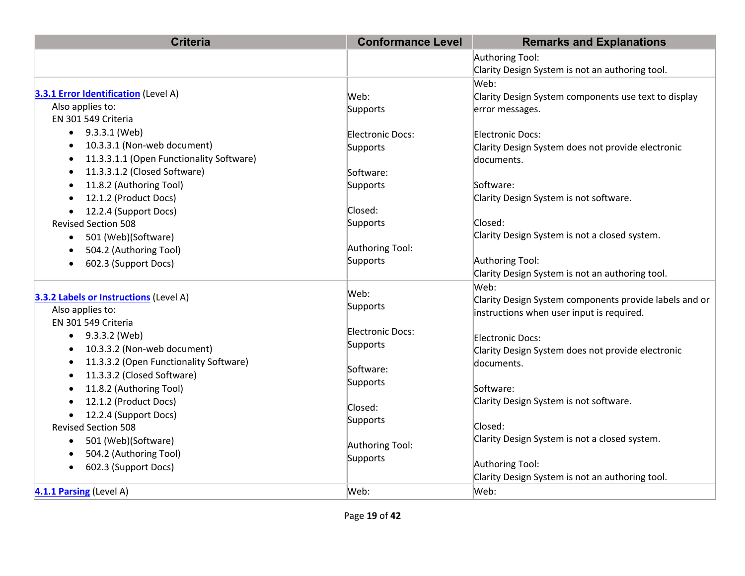| <b>Criteria</b>                                       | <b>Conformance Level</b> | <b>Remarks and Explanations</b>                        |
|-------------------------------------------------------|--------------------------|--------------------------------------------------------|
|                                                       |                          | Authoring Tool:                                        |
|                                                       |                          | Clarity Design System is not an authoring tool.        |
|                                                       |                          | Web:                                                   |
| 3.3.1 Error Identification (Level A)                  | Web:                     | Clarity Design System components use text to display   |
| Also applies to:                                      | Supports                 | error messages.                                        |
| EN 301 549 Criteria                                   |                          |                                                        |
| 9.3.3.1 (Web)<br>$\bullet$                            | Electronic Docs:         | Electronic Docs:                                       |
| 10.3.3.1 (Non-web document)<br>٠                      | Supports                 | Clarity Design System does not provide electronic      |
| 11.3.3.1.1 (Open Functionality Software)<br>$\bullet$ |                          | documents.                                             |
| 11.3.3.1.2 (Closed Software)<br>$\bullet$             | Software:                |                                                        |
| 11.8.2 (Authoring Tool)<br>$\bullet$                  | Supports                 | Software:                                              |
| 12.1.2 (Product Docs)<br>$\bullet$                    |                          | Clarity Design System is not software.                 |
| 12.2.4 (Support Docs)                                 | Closed:                  |                                                        |
| <b>Revised Section 508</b>                            | Supports                 | Closed:                                                |
| 501 (Web)(Software)<br>$\bullet$                      |                          | Clarity Design System is not a closed system.          |
| 504.2 (Authoring Tool)                                | Authoring Tool:          |                                                        |
| 602.3 (Support Docs)<br>٠                             | Supports                 | Authoring Tool:                                        |
|                                                       |                          | Clarity Design System is not an authoring tool.        |
|                                                       | Web:                     | Web:                                                   |
| 3.3.2 Labels or Instructions (Level A)                | Supports                 | Clarity Design System components provide labels and or |
| Also applies to:                                      |                          | instructions when user input is required.              |
| EN 301 549 Criteria                                   | Electronic Docs:         |                                                        |
| 9.3.3.2 (Web)<br>$\bullet$                            | Supports                 | Electronic Docs:                                       |
| 10.3.3.2 (Non-web document)<br>٠                      |                          | Clarity Design System does not provide electronic      |
| 11.3.3.2 (Open Functionality Software)<br>$\bullet$   | Software:                | documents.                                             |
| 11.3.3.2 (Closed Software)<br>$\bullet$               | Supports                 |                                                        |
| 11.8.2 (Authoring Tool)<br>$\bullet$                  |                          | Software:                                              |
| 12.1.2 (Product Docs)                                 | Closed:                  | Clarity Design System is not software.                 |
| 12.2.4 (Support Docs)<br>$\bullet$                    | Supports                 |                                                        |
| <b>Revised Section 508</b>                            |                          | Closed:                                                |
| 501 (Web)(Software)<br>$\bullet$                      | Authoring Tool:          | Clarity Design System is not a closed system.          |
| 504.2 (Authoring Tool)<br>$\bullet$                   | Supports                 |                                                        |
| 602.3 (Support Docs)<br>$\bullet$                     |                          | Authoring Tool:                                        |
|                                                       |                          | Clarity Design System is not an authoring tool.        |
| 4.1.1 Parsing (Level A)                               | Web:                     | Web:                                                   |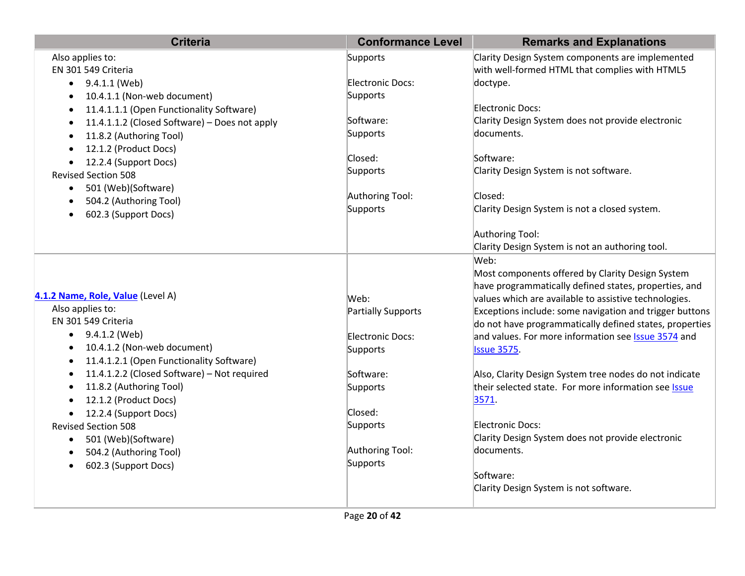| <b>Criteria</b>                                            | <b>Conformance Level</b>    | <b>Remarks and Explanations</b>                            |
|------------------------------------------------------------|-----------------------------|------------------------------------------------------------|
| Also applies to:                                           | Supports                    | Clarity Design System components are implemented           |
| EN 301 549 Criteria                                        |                             | with well-formed HTML that complies with HTML5             |
| $\bullet$ 9.4.1.1 (Web)                                    | Electronic Docs:            | doctype.                                                   |
| 10.4.1.1 (Non-web document)<br>$\bullet$                   | Supports                    |                                                            |
| 11.4.1.1.1 (Open Functionality Software)<br>$\bullet$      |                             | Electronic Docs:                                           |
| 11.4.1.1.2 (Closed Software) - Does not apply<br>$\bullet$ | Software:                   | Clarity Design System does not provide electronic          |
| 11.8.2 (Authoring Tool)                                    | Supports                    | documents.                                                 |
| 12.1.2 (Product Docs)                                      |                             |                                                            |
| 12.2.4 (Support Docs)                                      | Closed:                     | Software:                                                  |
| <b>Revised Section 508</b>                                 | Supports                    | Clarity Design System is not software.                     |
| 501 (Web)(Software)<br>$\bullet$                           |                             | Closed:                                                    |
| 504.2 (Authoring Tool)                                     | Authoring Tool:<br>Supports | Clarity Design System is not a closed system.              |
| 602.3 (Support Docs)                                       |                             |                                                            |
|                                                            |                             | Authoring Tool:                                            |
|                                                            |                             | Clarity Design System is not an authoring tool.            |
|                                                            |                             | Web:                                                       |
|                                                            |                             | Most components offered by Clarity Design System           |
|                                                            |                             | have programmatically defined states, properties, and      |
| 4.1.2 Name, Role, Value (Level A)                          | Web:                        | values which are available to assistive technologies.      |
| Also applies to:                                           | Partially Supports          | Exceptions include: some navigation and trigger buttons    |
| EN 301 549 Criteria                                        |                             | do not have programmatically defined states, properties    |
| 9.4.1.2 (Web)<br>$\bullet$                                 | Electronic Docs:            | and values. For more information see <b>Issue 3574</b> and |
| 10.4.1.2 (Non-web document)                                | Supports                    | <b>Issue 3575.</b>                                         |
| 11.4.1.2.1 (Open Functionality Software)                   |                             |                                                            |
| 11.4.1.2.2 (Closed Software) - Not required                | Software:                   | Also, Clarity Design System tree nodes do not indicate     |
| 11.8.2 (Authoring Tool)                                    | Supports                    | their selected state. For more information see Issue       |
| 12.1.2 (Product Docs)                                      |                             | 3571.                                                      |
| 12.2.4 (Support Docs)<br>$\bullet$                         | Closed:                     |                                                            |
| <b>Revised Section 508</b>                                 | Supports                    | Electronic Docs:                                           |
| 501 (Web)(Software)<br>$\bullet$                           |                             | Clarity Design System does not provide electronic          |
| 504.2 (Authoring Tool)<br>$\bullet$                        | Authoring Tool:             | documents.                                                 |
| 602.3 (Support Docs)                                       | Supports                    |                                                            |
|                                                            |                             | Software:                                                  |
|                                                            |                             | Clarity Design System is not software.                     |
|                                                            |                             |                                                            |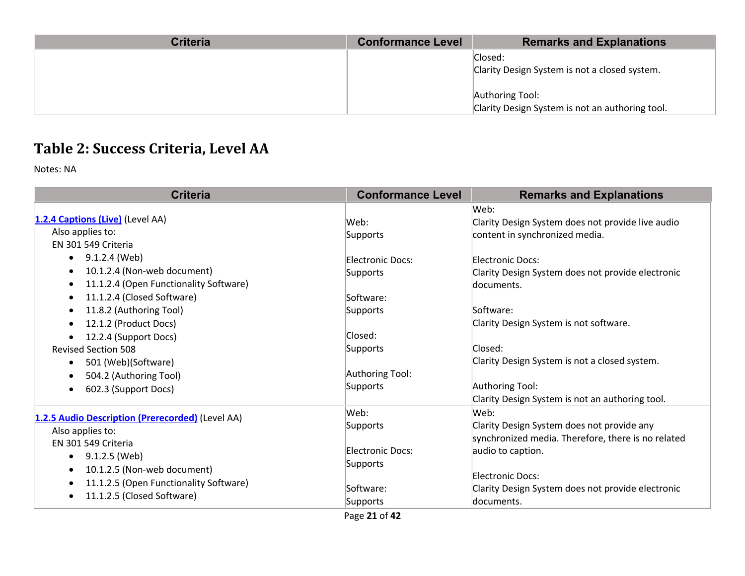| <b>Criteria</b> | <b>Conformance Level</b> | <b>Remarks and Explanations</b>                 |
|-----------------|--------------------------|-------------------------------------------------|
|                 |                          | Closed:                                         |
|                 |                          | Clarity Design System is not a closed system.   |
|                 |                          |                                                 |
|                 |                          | Authoring Tool:                                 |
|                 |                          | Clarity Design System is not an authoring tool. |

# **Table 2: Success Criteria, Level AA**

Notes: NA

| <b>Criteria</b>                                     | <b>Conformance Level</b> | <b>Remarks and Explanations</b>                    |
|-----------------------------------------------------|--------------------------|----------------------------------------------------|
|                                                     |                          | Web:                                               |
| 1.2.4 Captions (Live) (Level AA)                    | Web:                     | Clarity Design System does not provide live audio  |
| Also applies to:                                    | Supports                 | content in synchronized media.                     |
| EN 301 549 Criteria                                 |                          |                                                    |
| 9.1.2.4 (Web)<br>$\bullet$                          | Electronic Docs:         | Electronic Docs:                                   |
| 10.1.2.4 (Non-web document)<br>$\bullet$            | Supports                 | Clarity Design System does not provide electronic  |
| 11.1.2.4 (Open Functionality Software)<br>$\bullet$ |                          | documents.                                         |
| 11.1.2.4 (Closed Software)<br>$\bullet$             | Software:                |                                                    |
| 11.8.2 (Authoring Tool)<br>$\bullet$                | Supports                 | Software:                                          |
| 12.1.2 (Product Docs)<br>$\bullet$                  |                          | Clarity Design System is not software.             |
| 12.2.4 (Support Docs)<br>$\bullet$                  | Closed:                  |                                                    |
| <b>Revised Section 508</b>                          | Supports                 | Closed:                                            |
| 501 (Web)(Software)<br>$\bullet$                    |                          | Clarity Design System is not a closed system.      |
| 504.2 (Authoring Tool)<br>$\bullet$                 | Authoring Tool:          |                                                    |
| 602.3 (Support Docs)<br>$\bullet$                   | Supports                 | Authoring Tool:                                    |
|                                                     |                          | Clarity Design System is not an authoring tool.    |
| 1.2.5 Audio Description (Prerecorded) (Level AA)    | Web:                     | Web:                                               |
| Also applies to:                                    | Supports                 | Clarity Design System does not provide any         |
| EN 301 549 Criteria                                 |                          | synchronized media. Therefore, there is no related |
|                                                     | Electronic Docs:         | audio to caption.                                  |
| 9.1.2.5 (Web)<br>$\bullet$                          | Supports                 |                                                    |
| 10.1.2.5 (Non-web document)<br>$\bullet$            |                          | Electronic Docs:                                   |
| 11.1.2.5 (Open Functionality Software)<br>$\bullet$ | Software:                | Clarity Design System does not provide electronic  |
| 11.1.2.5 (Closed Software)<br>$\bullet$             | Supports                 | documents.                                         |

Page **21** of **42**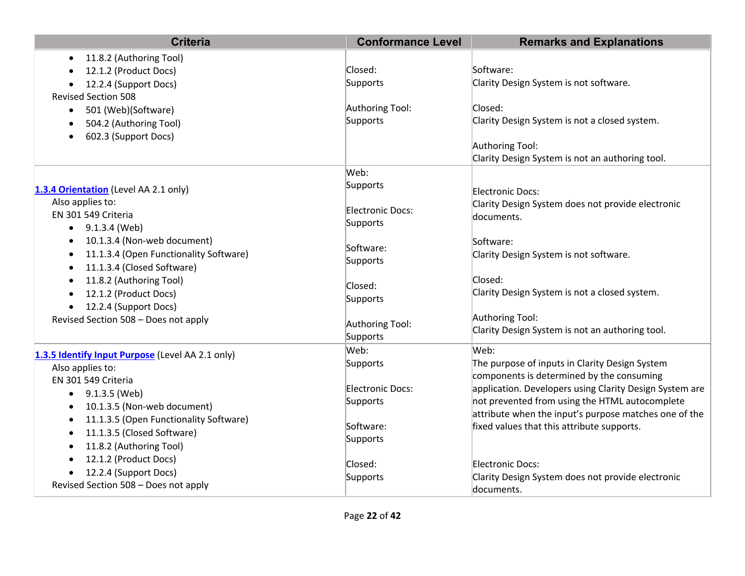| <b>Criteria</b>                                  | <b>Conformance Level</b> | <b>Remarks and Explanations</b>                         |
|--------------------------------------------------|--------------------------|---------------------------------------------------------|
| 11.8.2 (Authoring Tool)                          |                          |                                                         |
| 12.1.2 (Product Docs)                            | Closed:                  | Software:                                               |
| 12.2.4 (Support Docs)                            | Supports                 | Clarity Design System is not software.                  |
| <b>Revised Section 508</b>                       |                          |                                                         |
| 501 (Web)(Software)<br>$\bullet$                 | Authoring Tool:          | Closed:                                                 |
| 504.2 (Authoring Tool)                           | Supports                 | Clarity Design System is not a closed system.           |
| 602.3 (Support Docs)                             |                          |                                                         |
|                                                  |                          | Authoring Tool:                                         |
|                                                  |                          | Clarity Design System is not an authoring tool.         |
|                                                  | Web:                     |                                                         |
| 1.3.4 Orientation (Level AA 2.1 only)            | Supports                 | Electronic Docs:                                        |
| Also applies to:                                 | Electronic Docs:         | Clarity Design System does not provide electronic       |
| EN 301 549 Criteria                              |                          | documents.                                              |
| $\bullet$ 9.1.3.4 (Web)                          | Supports                 |                                                         |
| 10.1.3.4 (Non-web document)<br>$\bullet$         | Software:                | Software:                                               |
| 11.1.3.4 (Open Functionality Software)           | Supports                 | Clarity Design System is not software.                  |
| 11.1.3.4 (Closed Software)                       |                          |                                                         |
| 11.8.2 (Authoring Tool)                          | Closed:                  | Closed:                                                 |
| 12.1.2 (Product Docs)                            | Supports                 | Clarity Design System is not a closed system.           |
| 12.2.4 (Support Docs)                            |                          |                                                         |
| Revised Section 508 - Does not apply             | Authoring Tool:          | Authoring Tool:                                         |
|                                                  | Supports                 | Clarity Design System is not an authoring tool.         |
| 1.3.5 Identify Input Purpose (Level AA 2.1 only) | Web:                     | Web:                                                    |
| Also applies to:                                 | Supports                 | The purpose of inputs in Clarity Design System          |
| EN 301 549 Criteria                              |                          | components is determined by the consuming               |
| 9.1.3.5 (Web)<br>$\bullet$                       | Electronic Docs:         | application. Developers using Clarity Design System are |
| 10.1.3.5 (Non-web document)                      | Supports                 | not prevented from using the HTML autocomplete          |
| 11.1.3.5 (Open Functionality Software)           |                          | attribute when the input's purpose matches one of the   |
| 11.1.3.5 (Closed Software)                       | Software:                | fixed values that this attribute supports.              |
| 11.8.2 (Authoring Tool)<br>$\bullet$             | Supports                 |                                                         |
| 12.1.2 (Product Docs)                            |                          |                                                         |
| 12.2.4 (Support Docs)                            | Closed:                  | Electronic Docs:                                        |
| Revised Section 508 - Does not apply             | Supports                 | Clarity Design System does not provide electronic       |
|                                                  |                          | ldocuments.                                             |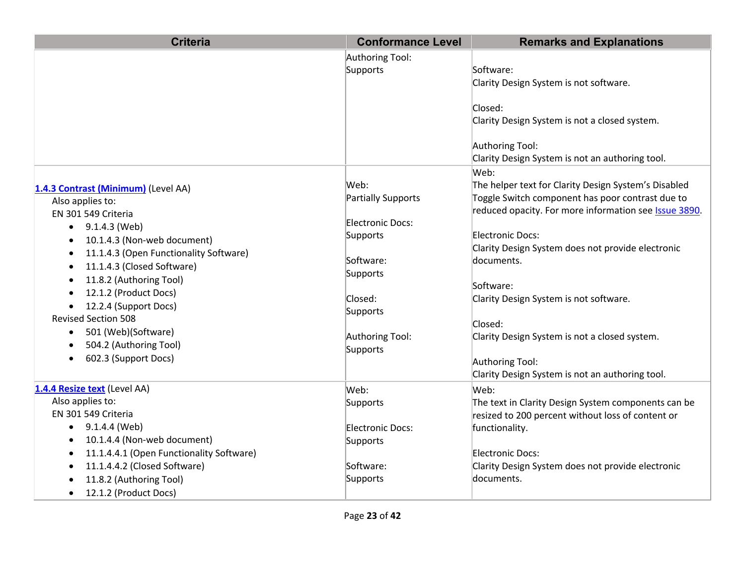| <b>Criteria</b>                          | <b>Conformance Level</b>  | <b>Remarks and Explanations</b>                               |
|------------------------------------------|---------------------------|---------------------------------------------------------------|
|                                          | Authoring Tool:           |                                                               |
|                                          | Supports                  | Software:                                                     |
|                                          |                           | Clarity Design System is not software.                        |
|                                          |                           |                                                               |
|                                          |                           | Closed:                                                       |
|                                          |                           | Clarity Design System is not a closed system.                 |
|                                          |                           |                                                               |
|                                          |                           | Authoring Tool:                                               |
|                                          |                           | Clarity Design System is not an authoring tool.               |
|                                          |                           | Web:                                                          |
| 1.4.3 Contrast (Minimum) (Level AA)      | Web:                      | The helper text for Clarity Design System's Disabled          |
| Also applies to:                         | <b>Partially Supports</b> | Toggle Switch component has poor contrast due to              |
| EN 301 549 Criteria                      | <b>Electronic Docs:</b>   | reduced opacity. For more information see <b>Issue 3890</b> . |
| $\bullet$ 9.1.4.3 (Web)                  | Supports                  | Electronic Docs:                                              |
| 10.1.4.3 (Non-web document)              |                           | Clarity Design System does not provide electronic             |
| 11.1.4.3 (Open Functionality Software)   | Software:                 | documents.                                                    |
| 11.1.4.3 (Closed Software)               | Supports                  |                                                               |
| 11.8.2 (Authoring Tool)                  |                           | Software:                                                     |
| 12.1.2 (Product Docs)                    | Closed:                   | Clarity Design System is not software.                        |
| 12.2.4 (Support Docs)                    | Supports                  |                                                               |
| <b>Revised Section 508</b>               |                           | Closed:                                                       |
| 501 (Web)(Software)                      | Authoring Tool:           | Clarity Design System is not a closed system.                 |
| 504.2 (Authoring Tool)                   | Supports                  |                                                               |
| 602.3 (Support Docs)                     |                           | Authoring Tool:                                               |
|                                          |                           | Clarity Design System is not an authoring tool.               |
| 1.4.4 Resize text (Level AA)             | Web:                      | Web:                                                          |
| Also applies to:                         | Supports                  | The text in Clarity Design System components can be           |
| EN 301 549 Criteria                      |                           | resized to 200 percent without loss of content or             |
| 9.1.4.4 (Web)<br>$\bullet$               | Electronic Docs:          | functionality.                                                |
| 10.1.4.4 (Non-web document)              | Supports                  |                                                               |
| 11.1.4.4.1 (Open Functionality Software) |                           | Electronic Docs:                                              |
| 11.1.4.4.2 (Closed Software)             | Software:                 | Clarity Design System does not provide electronic             |
| 11.8.2 (Authoring Tool)                  | Supports                  | documents.                                                    |
| 12.1.2 (Product Docs)<br>$\bullet$       |                           |                                                               |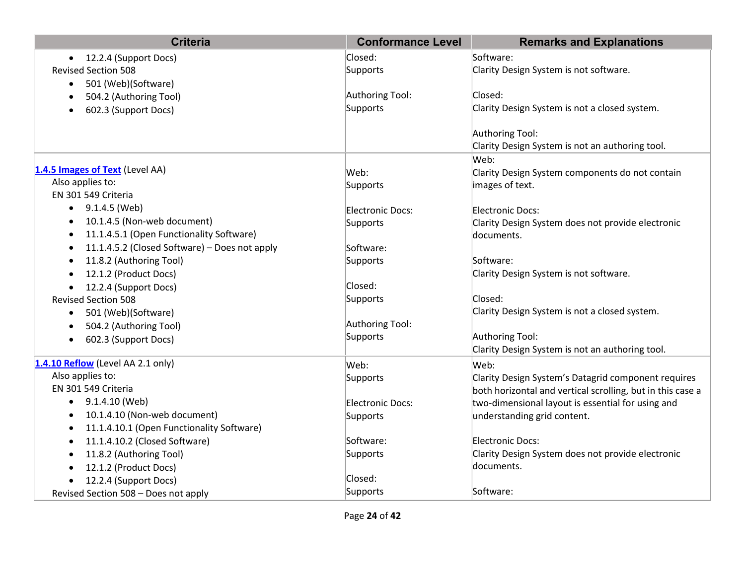| <b>Criteria</b>                               | <b>Conformance Level</b> | <b>Remarks and Explanations</b>                            |
|-----------------------------------------------|--------------------------|------------------------------------------------------------|
| 12.2.4 (Support Docs)                         | Closed:                  | Software:                                                  |
| <b>Revised Section 508</b>                    | Supports                 | Clarity Design System is not software.                     |
| 501 (Web)(Software)<br>$\bullet$              |                          |                                                            |
| 504.2 (Authoring Tool)                        | Authoring Tool:          | Closed:                                                    |
| 602.3 (Support Docs)                          | Supports                 | Clarity Design System is not a closed system.              |
|                                               |                          |                                                            |
|                                               |                          | Authoring Tool:                                            |
|                                               |                          | Clarity Design System is not an authoring tool.            |
|                                               |                          | Web:                                                       |
| 1.4.5 Images of Text (Level AA)               | Web:                     | Clarity Design System components do not contain            |
| Also applies to:                              | Supports                 | images of text.                                            |
| EN 301 549 Criteria                           |                          |                                                            |
| 9.1.4.5 (Web)                                 | Electronic Docs:         | Electronic Docs:                                           |
| 10.1.4.5 (Non-web document)                   | Supports                 | Clarity Design System does not provide electronic          |
| 11.1.4.5.1 (Open Functionality Software)      |                          | documents.                                                 |
| 11.1.4.5.2 (Closed Software) - Does not apply | Software:                |                                                            |
| 11.8.2 (Authoring Tool)                       | Supports                 | Software:                                                  |
| 12.1.2 (Product Docs)                         |                          | Clarity Design System is not software.                     |
| 12.2.4 (Support Docs)<br>$\bullet$            | Closed:                  |                                                            |
| <b>Revised Section 508</b>                    | Supports                 | Closed:                                                    |
| 501 (Web)(Software)<br>$\bullet$              |                          | Clarity Design System is not a closed system.              |
| 504.2 (Authoring Tool)<br>$\bullet$           | Authoring Tool:          |                                                            |
| 602.3 (Support Docs)<br>$\bullet$             | Supports                 | Authoring Tool:                                            |
|                                               |                          | Clarity Design System is not an authoring tool.            |
| 1.4.10 Reflow (Level AA 2.1 only)             | Web:                     | Web:                                                       |
| Also applies to:                              | Supports                 | Clarity Design System's Datagrid component requires        |
| EN 301 549 Criteria                           |                          | both horizontal and vertical scrolling, but in this case a |
| $\bullet$ 9.1.4.10 (Web)                      | Electronic Docs:         | two-dimensional layout is essential for using and          |
| 10.1.4.10 (Non-web document)                  | Supports                 | understanding grid content.                                |
| 11.1.4.10.1 (Open Functionality Software)     |                          |                                                            |
| 11.1.4.10.2 (Closed Software)                 | Software:                | Electronic Docs:                                           |
| 11.8.2 (Authoring Tool)                       | Supports                 | Clarity Design System does not provide electronic          |
| 12.1.2 (Product Docs)                         |                          | documents.                                                 |
| 12.2.4 (Support Docs)                         | Closed:                  |                                                            |
| Revised Section 508 - Does not apply          | Supports                 | Software:                                                  |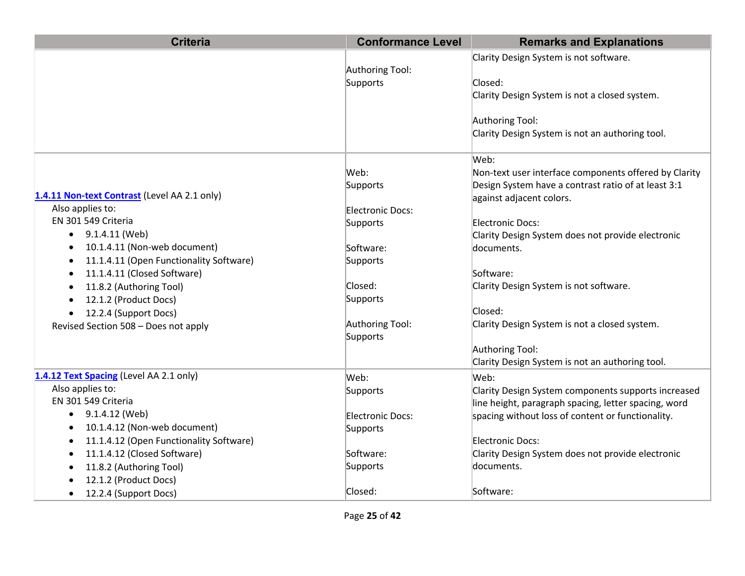| <b>Criteria</b>                                                                                                                                                                                                                                                                                                                                       | <b>Conformance Level</b>                                                                                                        | <b>Remarks and Explanations</b>                                                                                                                                                                                                                                                                                                                                               |
|-------------------------------------------------------------------------------------------------------------------------------------------------------------------------------------------------------------------------------------------------------------------------------------------------------------------------------------------------------|---------------------------------------------------------------------------------------------------------------------------------|-------------------------------------------------------------------------------------------------------------------------------------------------------------------------------------------------------------------------------------------------------------------------------------------------------------------------------------------------------------------------------|
|                                                                                                                                                                                                                                                                                                                                                       | Authoring Tool:<br>Supports                                                                                                     | Clarity Design System is not software.<br>Closed:<br>Clarity Design System is not a closed system.<br>Authoring Tool:<br>Clarity Design System is not an authoring tool.                                                                                                                                                                                                      |
| 1.4.11 Non-text Contrast (Level AA 2.1 only)<br>Also applies to:<br>EN 301 549 Criteria<br>9.1.4.11 (Web)<br>$\bullet$<br>10.1.4.11 (Non-web document)<br>11.1.4.11 (Open Functionality Software)<br>11.1.4.11 (Closed Software)<br>11.8.2 (Authoring Tool)<br>12.1.2 (Product Docs)<br>12.2.4 (Support Docs)<br>Revised Section 508 - Does not apply | Web:<br>Supports<br>Electronic Docs:<br>Supports<br>Software:<br>Supports<br>Closed:<br>Supports<br>Authoring Tool:<br>Supports | Web:<br>Non-text user interface components offered by Clarity<br>Design System have a contrast ratio of at least 3:1<br>against adjacent colors.<br>Electronic Docs:<br>Clarity Design System does not provide electronic<br>documents.<br>Software:<br>Clarity Design System is not software.<br>Closed:<br>Clarity Design System is not a closed system.<br>Authoring Tool: |
|                                                                                                                                                                                                                                                                                                                                                       |                                                                                                                                 | Clarity Design System is not an authoring tool.                                                                                                                                                                                                                                                                                                                               |
| 1.4.12 Text Spacing (Level AA 2.1 only)<br>Also applies to:<br>EN 301 549 Criteria<br>9.1.4.12 (Web)                                                                                                                                                                                                                                                  | Web:<br>Supports<br>Electronic Docs:                                                                                            | Web:<br>Clarity Design System components supports increased<br>line height, paragraph spacing, letter spacing, word<br>spacing without loss of content or functionality.                                                                                                                                                                                                      |
| 10.1.4.12 (Non-web document)<br>11.1.4.12 (Open Functionality Software)<br>11.1.4.12 (Closed Software)                                                                                                                                                                                                                                                | Supports<br>Software:                                                                                                           | Electronic Docs:<br>Clarity Design System does not provide electronic                                                                                                                                                                                                                                                                                                         |
| 11.8.2 (Authoring Tool)<br>12.1.2 (Product Docs)                                                                                                                                                                                                                                                                                                      | Supports                                                                                                                        | documents.                                                                                                                                                                                                                                                                                                                                                                    |
| 12.2.4 (Support Docs)<br>$\bullet$                                                                                                                                                                                                                                                                                                                    | Closed:                                                                                                                         | Software:                                                                                                                                                                                                                                                                                                                                                                     |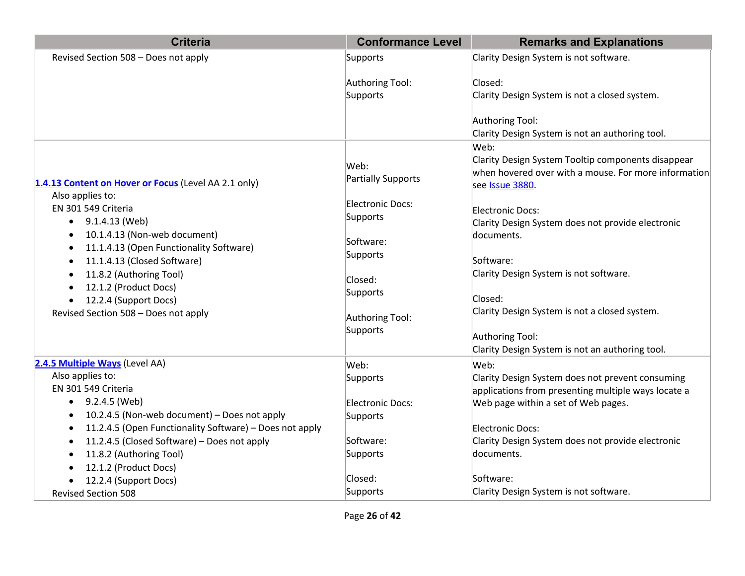| <b>Criteria</b>                                                                                                                                                                                                                                                                                                                                  | <b>Conformance Level</b>                                                                                                                  | <b>Remarks and Explanations</b>                                                                                                                                                                                                                                                                                                                                                                                       |
|--------------------------------------------------------------------------------------------------------------------------------------------------------------------------------------------------------------------------------------------------------------------------------------------------------------------------------------------------|-------------------------------------------------------------------------------------------------------------------------------------------|-----------------------------------------------------------------------------------------------------------------------------------------------------------------------------------------------------------------------------------------------------------------------------------------------------------------------------------------------------------------------------------------------------------------------|
| Revised Section 508 - Does not apply                                                                                                                                                                                                                                                                                                             | Supports                                                                                                                                  | Clarity Design System is not software.                                                                                                                                                                                                                                                                                                                                                                                |
|                                                                                                                                                                                                                                                                                                                                                  | Authoring Tool:<br>Supports                                                                                                               | Closed:<br>Clarity Design System is not a closed system.<br>Authoring Tool:<br>Clarity Design System is not an authoring tool.                                                                                                                                                                                                                                                                                        |
| 1.4.13 Content on Hover or Focus (Level AA 2.1 only)<br>Also applies to:<br>EN 301 549 Criteria<br>9.1.4.13 (Web)<br>10.1.4.13 (Non-web document)<br>11.1.4.13 (Open Functionality Software)<br>11.1.4.13 (Closed Software)<br>11.8.2 (Authoring Tool)<br>12.1.2 (Product Docs)<br>12.2.4 (Support Docs)<br>Revised Section 508 - Does not apply | Web:<br>Partially Supports<br>Electronic Docs:<br>Supports<br>Software:<br>Supports<br>Closed:<br>Supports<br>Authoring Tool:<br>Supports | Web:<br>Clarity Design System Tooltip components disappear<br>when hovered over with a mouse. For more information<br>see Issue 3880.<br>Electronic Docs:<br>Clarity Design System does not provide electronic<br>documents.<br>Software:<br>Clarity Design System is not software.<br>Closed:<br>Clarity Design System is not a closed system.<br>Authoring Tool:<br>Clarity Design System is not an authoring tool. |
| 2.4.5 Multiple Ways (Level AA)                                                                                                                                                                                                                                                                                                                   | Web:                                                                                                                                      | Web:                                                                                                                                                                                                                                                                                                                                                                                                                  |
| Also applies to:<br>EN 301 549 Criteria                                                                                                                                                                                                                                                                                                          | Supports                                                                                                                                  | Clarity Design System does not prevent consuming<br>applications from presenting multiple ways locate a                                                                                                                                                                                                                                                                                                               |
| 9.2.4.5 (Web)<br>$\bullet$<br>10.2.4.5 (Non-web document) - Does not apply                                                                                                                                                                                                                                                                       | Electronic Docs:<br>Supports                                                                                                              | Web page within a set of Web pages.                                                                                                                                                                                                                                                                                                                                                                                   |
| 11.2.4.5 (Open Functionality Software) - Does not apply<br>11.2.4.5 (Closed Software) - Does not apply                                                                                                                                                                                                                                           | Software:                                                                                                                                 | Electronic Docs:<br>Clarity Design System does not provide electronic<br>documents.                                                                                                                                                                                                                                                                                                                                   |
| 11.8.2 (Authoring Tool)<br>12.1.2 (Product Docs)                                                                                                                                                                                                                                                                                                 | Supports<br>Closed:                                                                                                                       | Software:                                                                                                                                                                                                                                                                                                                                                                                                             |
| 12.2.4 (Support Docs)<br><b>Revised Section 508</b>                                                                                                                                                                                                                                                                                              | Supports                                                                                                                                  | Clarity Design System is not software.                                                                                                                                                                                                                                                                                                                                                                                |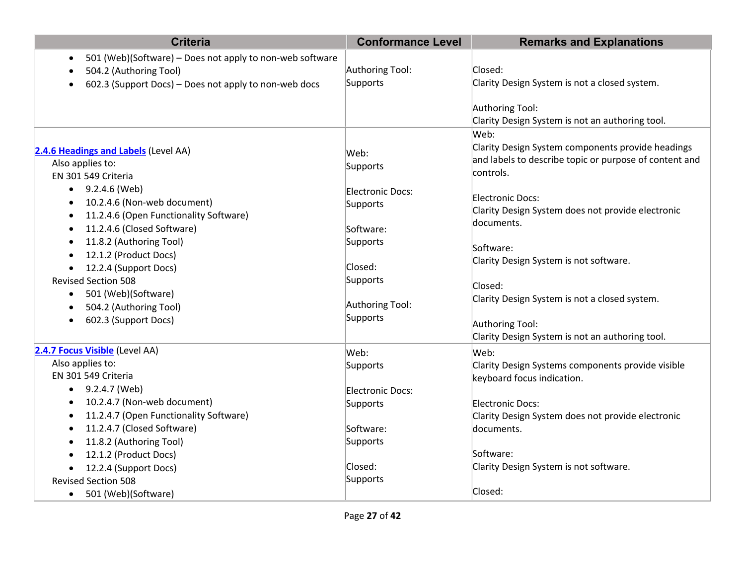| <b>Criteria</b>                                                       | <b>Conformance Level</b> | <b>Remarks and Explanations</b>                                    |
|-----------------------------------------------------------------------|--------------------------|--------------------------------------------------------------------|
| 501 (Web)(Software) – Does not apply to non-web software<br>$\bullet$ |                          |                                                                    |
| 504.2 (Authoring Tool)                                                | Authoring Tool:          | Closed:                                                            |
| 602.3 (Support Docs) - Does not apply to non-web docs                 | Supports                 | Clarity Design System is not a closed system.                      |
|                                                                       |                          | Authoring Tool:<br>Clarity Design System is not an authoring tool. |
|                                                                       |                          | Web:                                                               |
| 2.4.6 Headings and Labels (Level AA)                                  | Web:                     | Clarity Design System components provide headings                  |
| Also applies to:                                                      | Supports                 | and labels to describe topic or purpose of content and             |
| EN 301 549 Criteria                                                   |                          | controls.                                                          |
| $\bullet$ 9.2.4.6 (Web)<br>10.2.4.6 (Non-web document)                | Electronic Docs:         | Electronic Docs:                                                   |
| 11.2.4.6 (Open Functionality Software)                                | Supports                 | Clarity Design System does not provide electronic                  |
| 11.2.4.6 (Closed Software)                                            | Software:                | documents.                                                         |
| 11.8.2 (Authoring Tool)                                               | Supports                 |                                                                    |
| 12.1.2 (Product Docs)<br>$\bullet$                                    |                          | Software:                                                          |
| 12.2.4 (Support Docs)                                                 | Closed:                  | Clarity Design System is not software.                             |
| <b>Revised Section 508</b>                                            | Supports                 |                                                                    |
| 501 (Web)(Software)<br>$\bullet$                                      |                          | Closed:                                                            |
| 504.2 (Authoring Tool)<br>$\bullet$                                   | Authoring Tool:          | Clarity Design System is not a closed system.                      |
| 602.3 (Support Docs)                                                  | Supports                 | Authoring Tool:                                                    |
|                                                                       |                          | Clarity Design System is not an authoring tool.                    |
| 2.4.7 Focus Visible (Level AA)                                        | Web:                     | Web:                                                               |
| Also applies to:                                                      | Supports                 | Clarity Design Systems components provide visible                  |
| EN 301 549 Criteria                                                   |                          | keyboard focus indication.                                         |
| $\bullet$ 9.2.4.7 (Web)                                               | Electronic Docs:         |                                                                    |
| 10.2.4.7 (Non-web document)                                           | Supports                 | Electronic Docs:                                                   |
| 11.2.4.7 (Open Functionality Software)                                |                          | Clarity Design System does not provide electronic                  |
| 11.2.4.7 (Closed Software)                                            | Software:                | documents.                                                         |
| 11.8.2 (Authoring Tool)                                               | Supports                 |                                                                    |
| 12.1.2 (Product Docs)                                                 |                          | Software:                                                          |
| 12.2.4 (Support Docs)                                                 | Closed:                  | Clarity Design System is not software.                             |
| <b>Revised Section 508</b>                                            | Supports                 |                                                                    |
| 501 (Web)(Software)<br>$\bullet$                                      |                          | Closed:                                                            |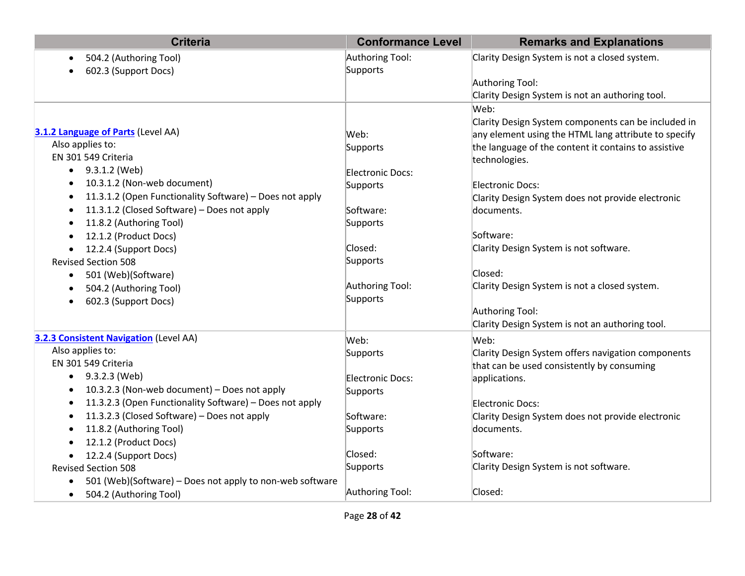| <b>Criteria</b>                                          | <b>Conformance Level</b> | <b>Remarks and Explanations</b>                      |
|----------------------------------------------------------|--------------------------|------------------------------------------------------|
| 504.2 (Authoring Tool)                                   | Authoring Tool:          | Clarity Design System is not a closed system.        |
| 602.3 (Support Docs)                                     | Supports                 |                                                      |
|                                                          |                          | Authoring Tool:                                      |
|                                                          |                          | Clarity Design System is not an authoring tool.      |
|                                                          |                          | Web:                                                 |
|                                                          |                          | Clarity Design System components can be included in  |
| 3.1.2 Language of Parts (Level AA)                       | Web:                     | any element using the HTML lang attribute to specify |
| Also applies to:                                         | Supports                 | the language of the content it contains to assistive |
| EN 301 549 Criteria                                      |                          | technologies.                                        |
| 9.3.1.2 (Web)                                            | Electronic Docs:         |                                                      |
| 10.3.1.2 (Non-web document)                              | Supports                 | Electronic Docs:                                     |
| 11.3.1.2 (Open Functionality Software) - Does not apply  |                          | Clarity Design System does not provide electronic    |
| 11.3.1.2 (Closed Software) – Does not apply              | Software:                | documents.                                           |
| 11.8.2 (Authoring Tool)                                  | Supports                 |                                                      |
| 12.1.2 (Product Docs)                                    |                          | Software:                                            |
| 12.2.4 (Support Docs)                                    | Closed:                  | Clarity Design System is not software.               |
| <b>Revised Section 508</b>                               | Supports                 |                                                      |
| 501 (Web)(Software)<br>$\bullet$                         |                          | Closed:                                              |
| 504.2 (Authoring Tool)                                   | Authoring Tool:          | Clarity Design System is not a closed system.        |
| 602.3 (Support Docs)                                     | Supports                 |                                                      |
|                                                          |                          | Authoring Tool:                                      |
|                                                          |                          | Clarity Design System is not an authoring tool.      |
| <b>3.2.3 Consistent Navigation (Level AA)</b>            | Web:                     | Web:                                                 |
| Also applies to:                                         | Supports                 | Clarity Design System offers navigation components   |
| EN 301 549 Criteria                                      |                          | that can be used consistently by consuming           |
| $\bullet$ 9.3.2.3 (Web)                                  | Electronic Docs:         | applications.                                        |
| 10.3.2.3 (Non-web document) - Does not apply             | Supports                 |                                                      |
| 11.3.2.3 (Open Functionality Software) - Does not apply  |                          | Electronic Docs:                                     |
| 11.3.2.3 (Closed Software) - Does not apply              | Software:                | Clarity Design System does not provide electronic    |
| 11.8.2 (Authoring Tool)                                  | Supports                 | documents.                                           |
| 12.1.2 (Product Docs)                                    |                          |                                                      |
| 12.2.4 (Support Docs)                                    | Closed:                  | Software:                                            |
| <b>Revised Section 508</b>                               | Supports                 | Clarity Design System is not software.               |
| 501 (Web)(Software) - Does not apply to non-web software |                          |                                                      |
| 504.2 (Authoring Tool)<br>$\bullet$                      | Authoring Tool:          | Closed:                                              |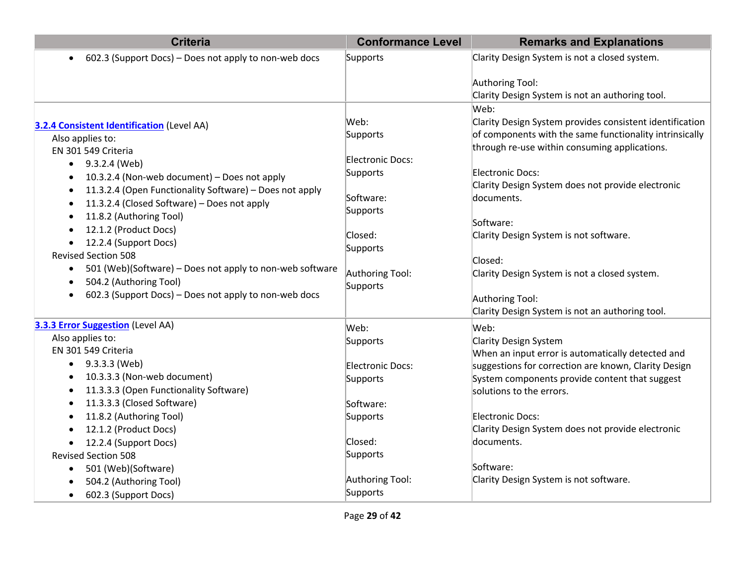| <b>Criteria</b>                                                                                                                                                                                                                                                                               | <b>Conformance Level</b>                                                  | <b>Remarks and Explanations</b>                                                                                                                                                                                                                                                                                                           |
|-----------------------------------------------------------------------------------------------------------------------------------------------------------------------------------------------------------------------------------------------------------------------------------------------|---------------------------------------------------------------------------|-------------------------------------------------------------------------------------------------------------------------------------------------------------------------------------------------------------------------------------------------------------------------------------------------------------------------------------------|
| 602.3 (Support Docs) – Does not apply to non-web docs                                                                                                                                                                                                                                         | Supports                                                                  | Clarity Design System is not a closed system.                                                                                                                                                                                                                                                                                             |
| <b>3.2.4 Consistent Identification (Level AA)</b><br>Also applies to:<br>EN 301 549 Criteria<br>9.3.2.4 (Web)<br>10.3.2.4 (Non-web document) - Does not apply<br>11.3.2.4 (Open Functionality Software) - Does not apply<br>11.3.2.4 (Closed Software) - Does not apply                       | Web:<br>Supports<br>Electronic Docs:<br>Supports<br>Software:<br>Supports | Authoring Tool:<br>Clarity Design System is not an authoring tool.<br>Web:<br>Clarity Design System provides consistent identification<br>of components with the same functionality intrinsically<br>through re-use within consuming applications.<br>Electronic Docs:<br>Clarity Design System does not provide electronic<br>documents. |
| 11.8.2 (Authoring Tool)<br>12.1.2 (Product Docs)<br>12.2.4 (Support Docs)<br>$\bullet$<br><b>Revised Section 508</b><br>501 (Web)(Software) - Does not apply to non-web software<br>$\bullet$<br>504.2 (Authoring Tool)<br>$\bullet$<br>602.3 (Support Docs) – Does not apply to non-web docs | Closed:<br>Supports<br>Authoring Tool:<br>Supports                        | Software:<br>Clarity Design System is not software.<br>Closed:<br>Clarity Design System is not a closed system.<br>Authoring Tool:<br>Clarity Design System is not an authoring tool.                                                                                                                                                     |
| <b>3.3.3 Error Suggestion</b> (Level AA)<br>Also applies to:                                                                                                                                                                                                                                  | Web:<br>Supports                                                          | Web:<br>Clarity Design System                                                                                                                                                                                                                                                                                                             |
| EN 301 549 Criteria<br>$\bullet$ 9.3.3.3 (Web)<br>10.3.3.3 (Non-web document)<br>11.3.3.3 (Open Functionality Software)                                                                                                                                                                       | Electronic Docs:<br>Supports                                              | When an input error is automatically detected and<br>suggestions for correction are known, Clarity Design<br>System components provide content that suggest<br>solutions to the errors.                                                                                                                                                   |
| 11.3.3.3 (Closed Software)<br>11.8.2 (Authoring Tool)<br>12.1.2 (Product Docs)                                                                                                                                                                                                                | Software:<br>Supports                                                     | Electronic Docs:<br>Clarity Design System does not provide electronic                                                                                                                                                                                                                                                                     |
| 12.2.4 (Support Docs)<br><b>Revised Section 508</b><br>501 (Web)(Software)<br>$\bullet$                                                                                                                                                                                                       | Closed:<br>Supports<br>Authoring Tool:                                    | documents.<br>Software:<br>Clarity Design System is not software.                                                                                                                                                                                                                                                                         |
| 504.2 (Authoring Tool)<br>602.3 (Support Docs)<br>$\bullet$                                                                                                                                                                                                                                   | Supports                                                                  |                                                                                                                                                                                                                                                                                                                                           |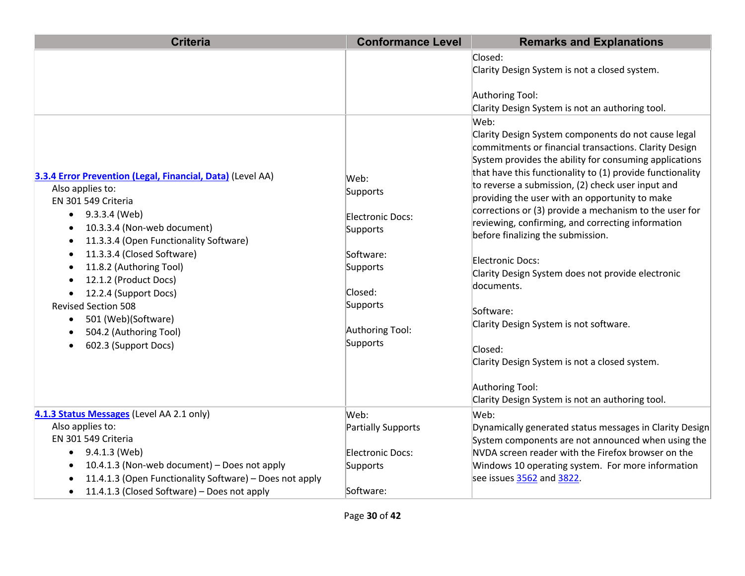| <b>Criteria</b>                                                                                                                                                                                                                                                                                        | <b>Conformance Level</b>                                                       | <b>Remarks and Explanations</b>                                                                                                                                                                                                                                                                                                                                                                                                                                                                |
|--------------------------------------------------------------------------------------------------------------------------------------------------------------------------------------------------------------------------------------------------------------------------------------------------------|--------------------------------------------------------------------------------|------------------------------------------------------------------------------------------------------------------------------------------------------------------------------------------------------------------------------------------------------------------------------------------------------------------------------------------------------------------------------------------------------------------------------------------------------------------------------------------------|
|                                                                                                                                                                                                                                                                                                        |                                                                                | Closed:<br>Clarity Design System is not a closed system.<br>Authoring Tool:<br>Clarity Design System is not an authoring tool.<br>Web:                                                                                                                                                                                                                                                                                                                                                         |
| 3.3.4 Error Prevention (Legal, Financial, Data) (Level AA)<br>Also applies to:<br>EN 301 549 Criteria<br>9.3.3.4 (Web)<br>$\bullet$<br>10.3.3.4 (Non-web document)<br>11.3.3.4 (Open Functionality Software)                                                                                           | Web:<br>Supports<br><b>Electronic Docs:</b><br>Supports                        | Clarity Design System components do not cause legal<br>commitments or financial transactions. Clarity Design<br>System provides the ability for consuming applications<br>that have this functionality to (1) provide functionality<br>to reverse a submission, (2) check user input and<br>providing the user with an opportunity to make<br>corrections or (3) provide a mechanism to the user for<br>reviewing, confirming, and correcting information<br>before finalizing the submission. |
| 11.3.3.4 (Closed Software)<br>11.8.2 (Authoring Tool)<br>12.1.2 (Product Docs)<br>12.2.4 (Support Docs)<br><b>Revised Section 508</b><br>501 (Web)(Software)<br>$\bullet$<br>504.2 (Authoring Tool)<br>602.3 (Support Docs)                                                                            | Software:<br>Supports<br>Closed:<br>Supports<br>Authoring Tool:<br>Supports    | Electronic Docs:<br>Clarity Design System does not provide electronic<br>documents.<br>Software:<br>Clarity Design System is not software.<br>Closed:<br>Clarity Design System is not a closed system.<br>Authoring Tool:                                                                                                                                                                                                                                                                      |
| 4.1.3 Status Messages (Level AA 2.1 only)<br>Also applies to:<br>EN 301 549 Criteria<br>9.4.1.3 (Web)<br>$\bullet$<br>10.4.1.3 (Non-web document) - Does not apply<br>$\bullet$<br>11.4.1.3 (Open Functionality Software) - Does not apply<br>11.4.1.3 (Closed Software) - Does not apply<br>$\bullet$ | Web:<br><b>Partially Supports</b><br>Electronic Docs:<br>Supports<br>Software: | Clarity Design System is not an authoring tool.<br>Web:<br>Dynamically generated status messages in Clarity Design<br>System components are not announced when using the<br>NVDA screen reader with the Firefox browser on the<br>Windows 10 operating system. For more information<br>see issues 3562 and 3822.                                                                                                                                                                               |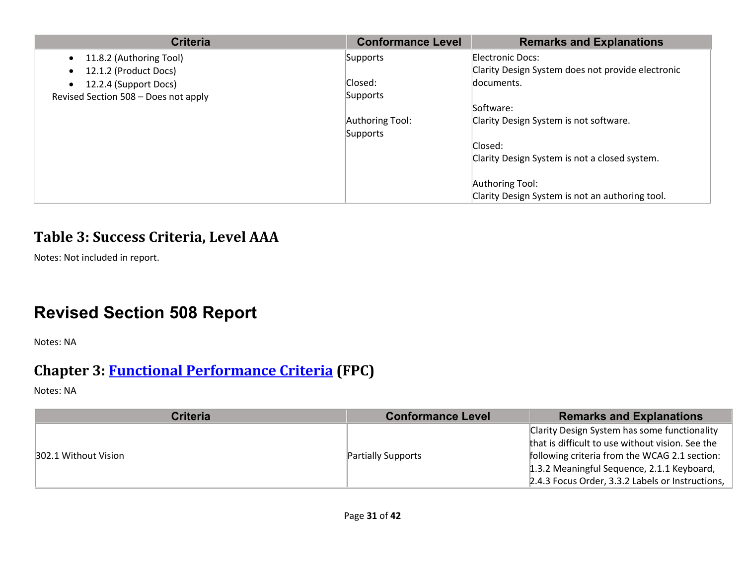| <b>Criteria</b>                      | <b>Conformance Level</b> | <b>Remarks and Explanations</b>                   |
|--------------------------------------|--------------------------|---------------------------------------------------|
| 11.8.2 (Authoring Tool)              | Supports                 | Electronic Docs:                                  |
| 12.1.2 (Product Docs)                |                          | Clarity Design System does not provide electronic |
| 12.2.4 (Support Docs)                | Closed:                  | documents.                                        |
| Revised Section 508 - Does not apply | Supports                 |                                                   |
|                                      |                          | Software:                                         |
|                                      | Authoring Tool:          | Clarity Design System is not software.            |
|                                      | Supports                 |                                                   |
|                                      |                          | Closed:                                           |
|                                      |                          | Clarity Design System is not a closed system.     |
|                                      |                          | Authoring Tool:                                   |
|                                      |                          |                                                   |
|                                      |                          | Clarity Design System is not an authoring tool.   |

#### **Table 3: Success Criteria, Level AAA**

Notes: Not included in report.

# **Revised Section 508 Report**

Notes: NA

# **Chapter 3: Functional Performance Criteria (FPC)**

| <b>Criteria</b>      | <b>Conformance Level</b>  | <b>Remarks and Explanations</b>                  |
|----------------------|---------------------------|--------------------------------------------------|
| 302.1 Without Vision | <b>Partially Supports</b> | Clarity Design System has some functionality     |
|                      |                           | that is difficult to use without vision. See the |
|                      |                           | following criteria from the WCAG 2.1 section:    |
|                      |                           | 1.3.2 Meaningful Sequence, 2.1.1 Keyboard,       |
|                      |                           | 2.4.3 Focus Order, 3.3.2 Labels or Instructions, |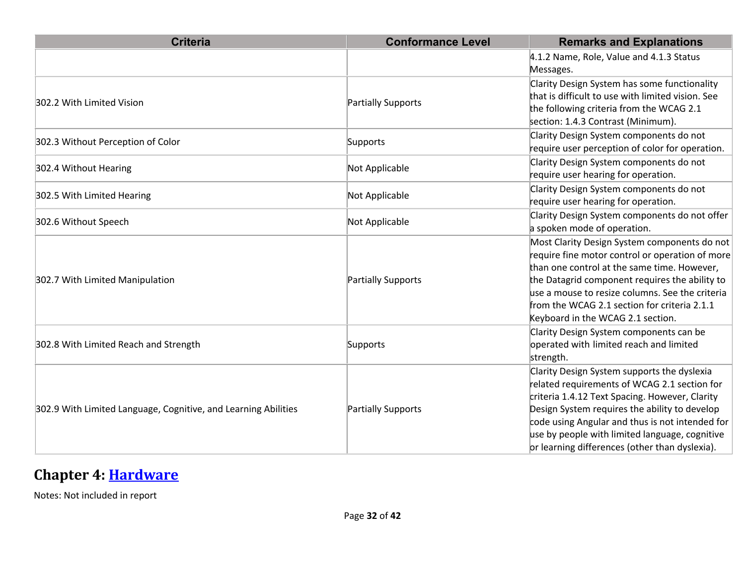| <b>Criteria</b>                                                | <b>Conformance Level</b> | <b>Remarks and Explanations</b>                                                            |
|----------------------------------------------------------------|--------------------------|--------------------------------------------------------------------------------------------|
|                                                                |                          | 4.1.2 Name, Role, Value and 4.1.3 Status                                                   |
|                                                                |                          | Messages.                                                                                  |
|                                                                |                          | Clarity Design System has some functionality                                               |
| 302.2 With Limited Vision                                      | Partially Supports       | that is difficult to use with limited vision. See                                          |
|                                                                |                          | the following criteria from the WCAG 2.1                                                   |
|                                                                |                          | section: 1.4.3 Contrast (Minimum).                                                         |
| 302.3 Without Perception of Color                              | Supports                 | Clarity Design System components do not<br>require user perception of color for operation. |
|                                                                |                          |                                                                                            |
| 302.4 Without Hearing                                          | Not Applicable           | Clarity Design System components do not                                                    |
|                                                                |                          | require user hearing for operation.                                                        |
| 302.5 With Limited Hearing                                     | Not Applicable           | Clarity Design System components do not                                                    |
|                                                                |                          | require user hearing for operation.                                                        |
| 302.6 Without Speech                                           | Not Applicable           | Clarity Design System components do not offer                                              |
|                                                                |                          | a spoken mode of operation.                                                                |
|                                                                |                          | Most Clarity Design System components do not                                               |
|                                                                |                          | require fine motor control or operation of more                                            |
|                                                                |                          | than one control at the same time. However,                                                |
| 302.7 With Limited Manipulation                                | Partially Supports       | the Datagrid component requires the ability to                                             |
|                                                                |                          | use a mouse to resize columns. See the criteria                                            |
|                                                                |                          | from the WCAG 2.1 section for criteria 2.1.1                                               |
|                                                                |                          | Keyboard in the WCAG 2.1 section.                                                          |
|                                                                |                          | Clarity Design System components can be                                                    |
| 302.8 With Limited Reach and Strength                          | Supports                 | operated with limited reach and limited                                                    |
|                                                                |                          | strength.                                                                                  |
|                                                                |                          | Clarity Design System supports the dyslexia                                                |
|                                                                |                          | related requirements of WCAG 2.1 section for                                               |
|                                                                |                          | criteria 1.4.12 Text Spacing. However, Clarity                                             |
| 302.9 With Limited Language, Cognitive, and Learning Abilities | Partially Supports       | Design System requires the ability to develop                                              |
|                                                                |                          | code using Angular and thus is not intended for                                            |
|                                                                |                          | use by people with limited language, cognitive                                             |
|                                                                |                          | or learning differences (other than dyslexia).                                             |

# **Chapter 4: Hardware**

Notes: Not included in report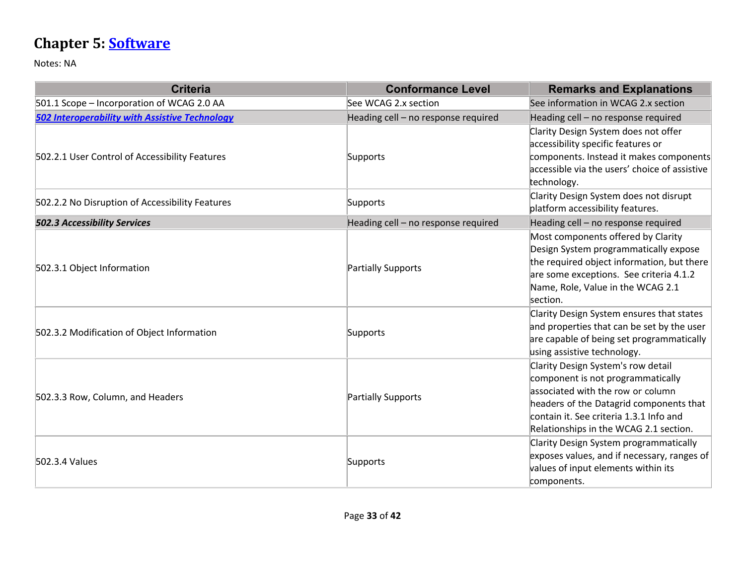# **Chapter 5: Software**

| <b>Criteria</b>                                       | <b>Conformance Level</b>            | <b>Remarks and Explanations</b>                                                                                                                                                                                                              |
|-------------------------------------------------------|-------------------------------------|----------------------------------------------------------------------------------------------------------------------------------------------------------------------------------------------------------------------------------------------|
| 501.1 Scope - Incorporation of WCAG 2.0 AA            | See WCAG 2.x section                | See information in WCAG 2.x section                                                                                                                                                                                                          |
| <b>502 Interoperability with Assistive Technology</b> | Heading cell - no response required | Heading cell - no response required                                                                                                                                                                                                          |
| 502.2.1 User Control of Accessibility Features        | Supports                            | Clarity Design System does not offer<br>accessibility specific features or<br>components. Instead it makes components<br>accessible via the users' choice of assistive<br>technology.                                                        |
| 502.2.2 No Disruption of Accessibility Features       | Supports                            | Clarity Design System does not disrupt<br>platform accessibility features.                                                                                                                                                                   |
| <b>502.3 Accessibility Services</b>                   | Heading cell - no response required | Heading cell - no response required                                                                                                                                                                                                          |
| 502.3.1 Object Information                            | Partially Supports                  | Most components offered by Clarity<br>Design System programmatically expose<br>the required object information, but there<br>are some exceptions. See criteria 4.1.2<br>Name, Role, Value in the WCAG 2.1<br>section.                        |
| 502.3.2 Modification of Object Information            | Supports                            | Clarity Design System ensures that states<br>and properties that can be set by the user<br>are capable of being set programmatically<br>using assistive technology.                                                                          |
| 502.3.3 Row, Column, and Headers                      | Partially Supports                  | Clarity Design System's row detail<br>component is not programmatically<br>associated with the row or column<br>headers of the Datagrid components that<br>contain it. See criteria 1.3.1 Info and<br>Relationships in the WCAG 2.1 section. |
| 502.3.4 Values                                        | Supports                            | Clarity Design System programmatically<br>exposes values, and if necessary, ranges of<br>values of input elements within its<br>components.                                                                                                  |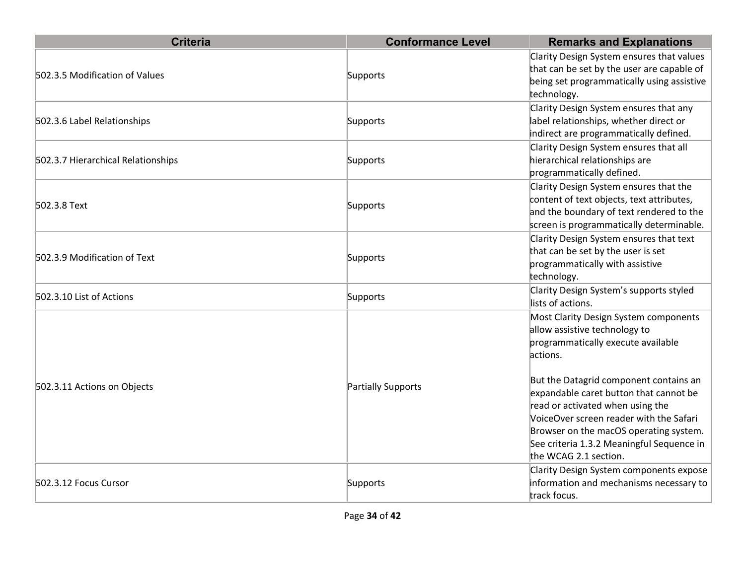| <b>Criteria</b>                    | <b>Conformance Level</b> | <b>Remarks and Explanations</b>                                                                                                                                                                                                                                                                                                                                                                             |
|------------------------------------|--------------------------|-------------------------------------------------------------------------------------------------------------------------------------------------------------------------------------------------------------------------------------------------------------------------------------------------------------------------------------------------------------------------------------------------------------|
| 502.3.5 Modification of Values     | Supports                 | Clarity Design System ensures that values<br>that can be set by the user are capable of<br>being set programmatically using assistive<br>technology.                                                                                                                                                                                                                                                        |
| 502.3.6 Label Relationships        | Supports                 | Clarity Design System ensures that any<br>label relationships, whether direct or<br>indirect are programmatically defined.                                                                                                                                                                                                                                                                                  |
| 502.3.7 Hierarchical Relationships | Supports                 | Clarity Design System ensures that all<br>hierarchical relationships are<br>programmatically defined.                                                                                                                                                                                                                                                                                                       |
| 502.3.8 Text                       | Supports                 | Clarity Design System ensures that the<br>content of text objects, text attributes,<br>and the boundary of text rendered to the<br>screen is programmatically determinable.                                                                                                                                                                                                                                 |
| 502.3.9 Modification of Text       | Supports                 | Clarity Design System ensures that text<br>that can be set by the user is set<br>programmatically with assistive<br>technology.                                                                                                                                                                                                                                                                             |
| 502.3.10 List of Actions           | Supports                 | Clarity Design System's supports styled<br>lists of actions.                                                                                                                                                                                                                                                                                                                                                |
| 502.3.11 Actions on Objects        | Partially Supports       | Most Clarity Design System components<br>allow assistive technology to<br>programmatically execute available<br>actions.<br>But the Datagrid component contains an<br>expandable caret button that cannot be<br>read or activated when using the<br>VoiceOver screen reader with the Safari<br>Browser on the macOS operating system.<br>See criteria 1.3.2 Meaningful Sequence in<br>the WCAG 2.1 section. |
| 502.3.12 Focus Cursor              | Supports                 | Clarity Design System components expose<br>information and mechanisms necessary to<br>track focus.                                                                                                                                                                                                                                                                                                          |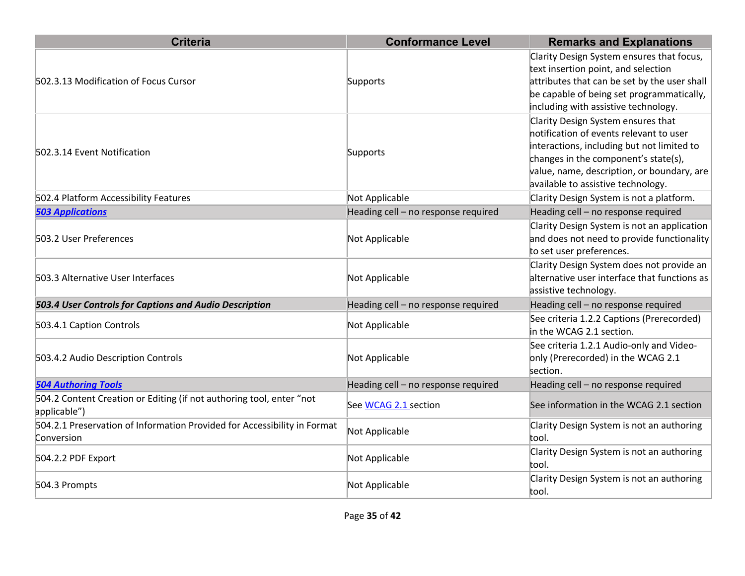| <b>Criteria</b>                                                                        | <b>Conformance Level</b>            | <b>Remarks and Explanations</b>                                                                                                                                                                                                                         |
|----------------------------------------------------------------------------------------|-------------------------------------|---------------------------------------------------------------------------------------------------------------------------------------------------------------------------------------------------------------------------------------------------------|
| 502.3.13 Modification of Focus Cursor                                                  | Supports                            | Clarity Design System ensures that focus,<br>text insertion point, and selection<br>attributes that can be set by the user shall<br>be capable of being set programmatically,<br>including with assistive technology.                                   |
| 502.3.14 Event Notification                                                            | Supports                            | Clarity Design System ensures that<br>notification of events relevant to user<br>interactions, including but not limited to<br>changes in the component's state(s),<br>value, name, description, or boundary, are<br>available to assistive technology. |
| 502.4 Platform Accessibility Features                                                  | Not Applicable                      | Clarity Design System is not a platform.                                                                                                                                                                                                                |
| <b>503 Applications</b>                                                                | Heading cell - no response required | Heading cell - no response required                                                                                                                                                                                                                     |
| 503.2 User Preferences                                                                 | Not Applicable                      | Clarity Design System is not an application<br>and does not need to provide functionality<br>to set user preferences.                                                                                                                                   |
| 503.3 Alternative User Interfaces                                                      | Not Applicable                      | Clarity Design System does not provide an<br>alternative user interface that functions as<br>assistive technology.                                                                                                                                      |
| 503.4 User Controls for Captions and Audio Description                                 | Heading cell - no response required | Heading cell - no response required                                                                                                                                                                                                                     |
| 503.4.1 Caption Controls                                                               | Not Applicable                      | See criteria 1.2.2 Captions (Prerecorded)<br>in the WCAG 2.1 section.                                                                                                                                                                                   |
| 503.4.2 Audio Description Controls                                                     | Not Applicable                      | See criteria 1.2.1 Audio-only and Video-<br>only (Prerecorded) in the WCAG 2.1<br>section.                                                                                                                                                              |
| <b>504 Authoring Tools</b>                                                             | Heading cell - no response required | Heading cell - no response required                                                                                                                                                                                                                     |
| 504.2 Content Creation or Editing (if not authoring tool, enter "not<br>applicable")   | See WCAG 2.1 section                | See information in the WCAG 2.1 section                                                                                                                                                                                                                 |
| 504.2.1 Preservation of Information Provided for Accessibility in Format<br>Conversion | Not Applicable                      | Clarity Design System is not an authoring<br>tool.                                                                                                                                                                                                      |
| 504.2.2 PDF Export                                                                     | Not Applicable                      | Clarity Design System is not an authoring<br>tool.                                                                                                                                                                                                      |
| 504.3 Prompts                                                                          | Not Applicable                      | Clarity Design System is not an authoring<br>tool.                                                                                                                                                                                                      |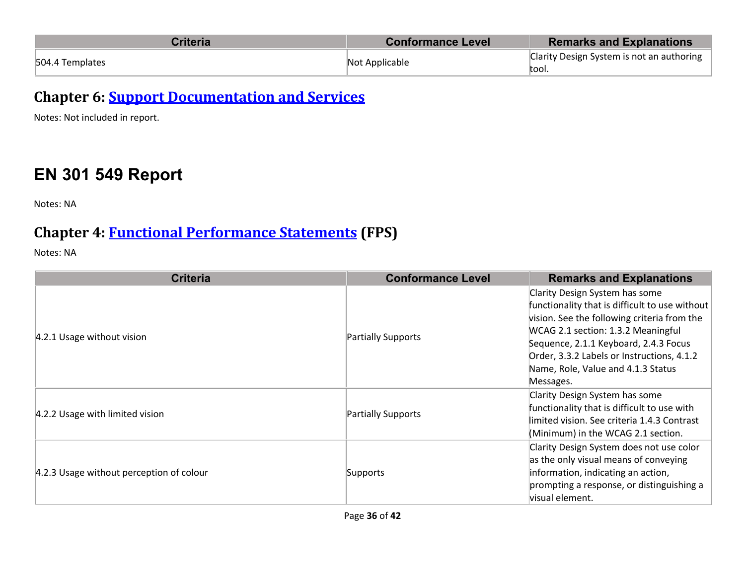| <b>Criteria</b> | <b>Conformance Level</b> | <b>Remarks and Explanations</b>                    |
|-----------------|--------------------------|----------------------------------------------------|
| 504.4 Templates | Not Applicable           | Clarity Design System is not an authoring<br>tool. |

**Chapter 6: Support Documentation and Services** 

Notes: Not included in report.

# **EN 301 549 Report**

Notes: NA

### **Chapter 4: Functional Performance Statements (FPS)**

| <b>Criteria</b>                          | <b>Conformance Level</b> | <b>Remarks and Explanations</b>                                                                                                                                                                                                                                                                                 |
|------------------------------------------|--------------------------|-----------------------------------------------------------------------------------------------------------------------------------------------------------------------------------------------------------------------------------------------------------------------------------------------------------------|
| 4.2.1 Usage without vision               | Partially Supports       | Clarity Design System has some<br>functionality that is difficult to use without<br>vision. See the following criteria from the<br>WCAG 2.1 section: 1.3.2 Meaningful<br>Sequence, 2.1.1 Keyboard, 2.4.3 Focus<br>Order, 3.3.2 Labels or Instructions, 4.1.2<br>Name, Role, Value and 4.1.3 Status<br>Messages. |
| 4.2.2 Usage with limited vision          | Partially Supports       | Clarity Design System has some<br>functionality that is difficult to use with<br>limited vision. See criteria 1.4.3 Contrast<br>(Minimum) in the WCAG 2.1 section.                                                                                                                                              |
| 4.2.3 Usage without perception of colour | Supports                 | Clarity Design System does not use color<br>as the only visual means of conveying<br>information, indicating an action,<br>prompting a response, or distinguishing a<br>visual element.                                                                                                                         |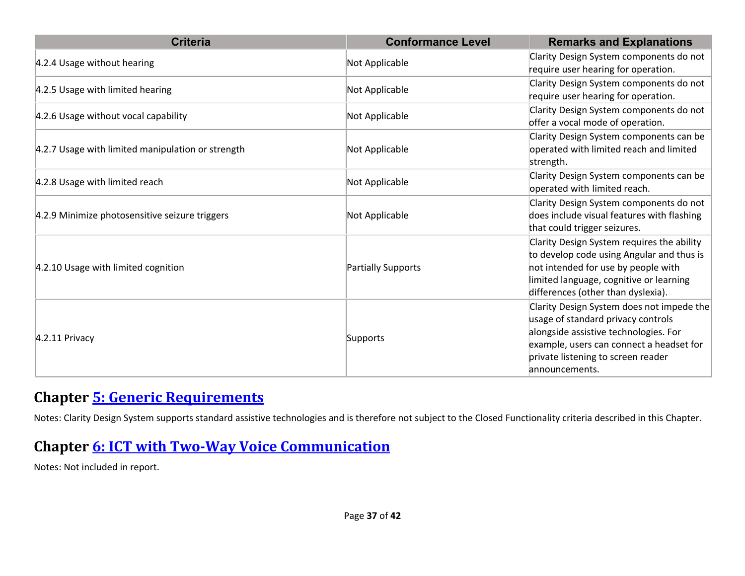| <b>Criteria</b>                                   | <b>Conformance Level</b> | <b>Remarks and Explanations</b>                                                                                                                                                                                              |
|---------------------------------------------------|--------------------------|------------------------------------------------------------------------------------------------------------------------------------------------------------------------------------------------------------------------------|
| 4.2.4 Usage without hearing                       | Not Applicable           | Clarity Design System components do not<br>require user hearing for operation.                                                                                                                                               |
| 4.2.5 Usage with limited hearing                  | Not Applicable           | Clarity Design System components do not<br>require user hearing for operation.                                                                                                                                               |
| 4.2.6 Usage without vocal capability              | Not Applicable           | Clarity Design System components do not<br>offer a vocal mode of operation.                                                                                                                                                  |
| 4.2.7 Usage with limited manipulation or strength | Not Applicable           | Clarity Design System components can be<br>operated with limited reach and limited<br>strength.                                                                                                                              |
| 4.2.8 Usage with limited reach                    | Not Applicable           | Clarity Design System components can be<br>operated with limited reach.                                                                                                                                                      |
| 4.2.9 Minimize photosensitive seizure triggers    | Not Applicable           | Clarity Design System components do not<br>does include visual features with flashing<br>that could trigger seizures.                                                                                                        |
| 4.2.10 Usage with limited cognition               | Partially Supports       | Clarity Design System requires the ability<br>to develop code using Angular and thus is<br>not intended for use by people with<br>limited language, cognitive or learning<br>differences (other than dyslexia).              |
| $4.2.11$ Privacy                                  | Supports                 | Clarity Design System does not impede the<br>usage of standard privacy controls<br>alongside assistive technologies. For<br>example, users can connect a headset for<br>private listening to screen reader<br>announcements. |

#### **Chapter 5: Generic Requirements**

Notes: Clarity Design System supports standard assistive technologies and is therefore not subject to the Closed Functionality criteria described in this Chapter.

#### **Chapter 6: ICT with Two-Way Voice Communication**

Notes: Not included in report.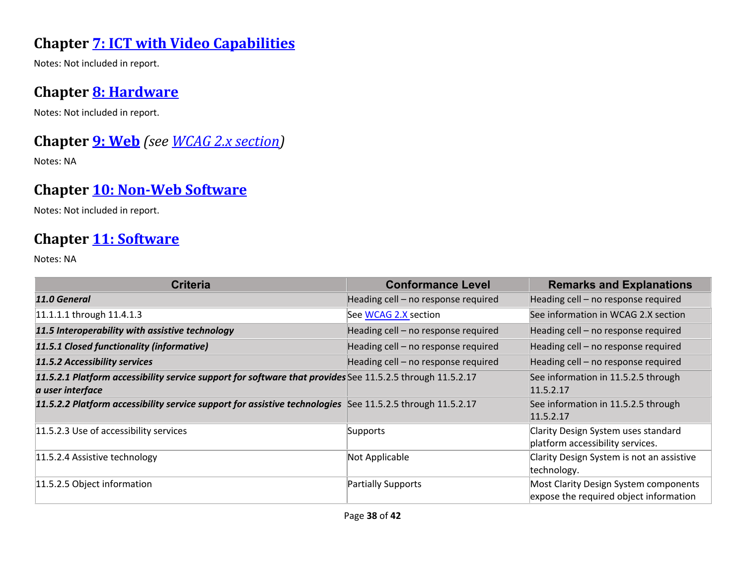### **Chapter 7: ICT with Video Capabilities**

Notes: Not included in report.

#### **Chapter 8: Hardware**

Notes: Not included in report.

## **Chapter 9: Web** *(see WCAG 2.x section)*

Notes: NA

## **Chapter 10: Non-Web Software**

Notes: Not included in report.

#### Chapter 11: Software

| <b>Criteria</b>                                                                                                               | <b>Conformance Level</b>            | <b>Remarks and Explanations</b>                                                 |
|-------------------------------------------------------------------------------------------------------------------------------|-------------------------------------|---------------------------------------------------------------------------------|
| 11.0 General                                                                                                                  | Heading cell - no response required | Heading cell - no response required                                             |
| 11.1.1.1 through 11.4.1.3                                                                                                     | See WCAG 2.X section                | See information in WCAG 2.X section                                             |
| 11.5 Interoperability with assistive technology                                                                               | Heading cell - no response required | Heading cell - no response required                                             |
| 11.5.1 Closed functionality (informative)                                                                                     | Heading cell - no response required | Heading cell - no response required                                             |
| 11.5.2 Accessibility services                                                                                                 | Heading cell - no response required | Heading cell - no response required                                             |
| 11.5.2.1 Platform accessibility service support for software that provides See 11.5.2.5 through 11.5.2.17<br>a user interface |                                     | See information in 11.5.2.5 through<br>11.5.2.17                                |
| 11.5.2.2 Platform accessibility service support for assistive technologies See 11.5.2.5 through 11.5.2.17                     |                                     | See information in 11.5.2.5 through<br>11.5.2.17                                |
| 11.5.2.3 Use of accessibility services                                                                                        | Supports                            | Clarity Design System uses standard<br>platform accessibility services.         |
| 11.5.2.4 Assistive technology                                                                                                 | Not Applicable                      | Clarity Design System is not an assistive<br>technology.                        |
| 11.5.2.5 Object information                                                                                                   | Partially Supports                  | Most Clarity Design System components<br>expose the required object information |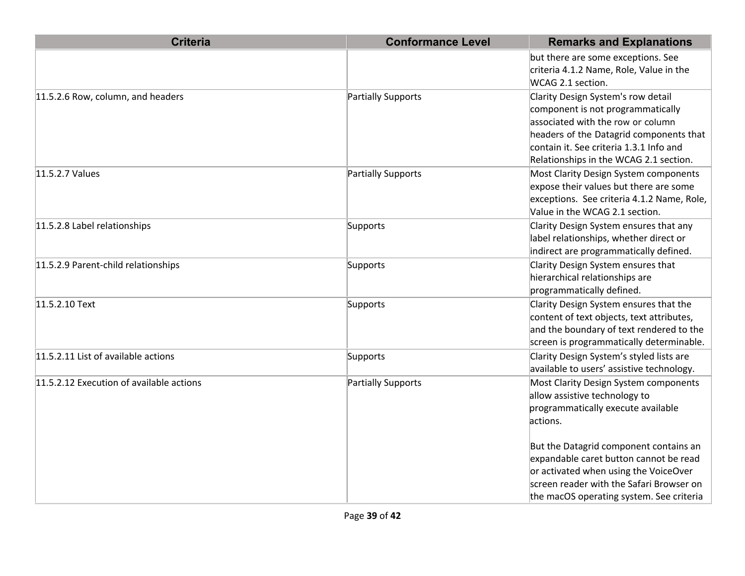| <b>Criteria</b>                          | <b>Conformance Level</b>  | <b>Remarks and Explanations</b>                                                                                                                                                                                                              |
|------------------------------------------|---------------------------|----------------------------------------------------------------------------------------------------------------------------------------------------------------------------------------------------------------------------------------------|
|                                          |                           | but there are some exceptions. See<br>criteria 4.1.2 Name, Role, Value in the<br>WCAG 2.1 section.                                                                                                                                           |
| 11.5.2.6 Row, column, and headers        | Partially Supports        | Clarity Design System's row detail<br>component is not programmatically<br>associated with the row or column<br>headers of the Datagrid components that<br>contain it. See criteria 1.3.1 Info and<br>Relationships in the WCAG 2.1 section. |
| 11.5.2.7 Values                          | Partially Supports        | Most Clarity Design System components<br>expose their values but there are some<br>exceptions. See criteria 4.1.2 Name, Role,<br>Value in the WCAG 2.1 section.                                                                              |
| 11.5.2.8 Label relationships             | Supports                  | Clarity Design System ensures that any<br>label relationships, whether direct or<br>indirect are programmatically defined.                                                                                                                   |
| 11.5.2.9 Parent-child relationships      | Supports                  | Clarity Design System ensures that<br>hierarchical relationships are<br>programmatically defined.                                                                                                                                            |
| 11.5.2.10 Text                           | Supports                  | Clarity Design System ensures that the<br>content of text objects, text attributes,<br>and the boundary of text rendered to the<br>screen is programmatically determinable.                                                                  |
| 11.5.2.11 List of available actions      | Supports                  | Clarity Design System's styled lists are<br>available to users' assistive technology.                                                                                                                                                        |
| 11.5.2.12 Execution of available actions | <b>Partially Supports</b> | Most Clarity Design System components<br>allow assistive technology to<br>programmatically execute available<br>actions.                                                                                                                     |
|                                          |                           | But the Datagrid component contains an<br>expandable caret button cannot be read<br>or activated when using the VoiceOver<br>screen reader with the Safari Browser on<br>the macOS operating system. See criteria                            |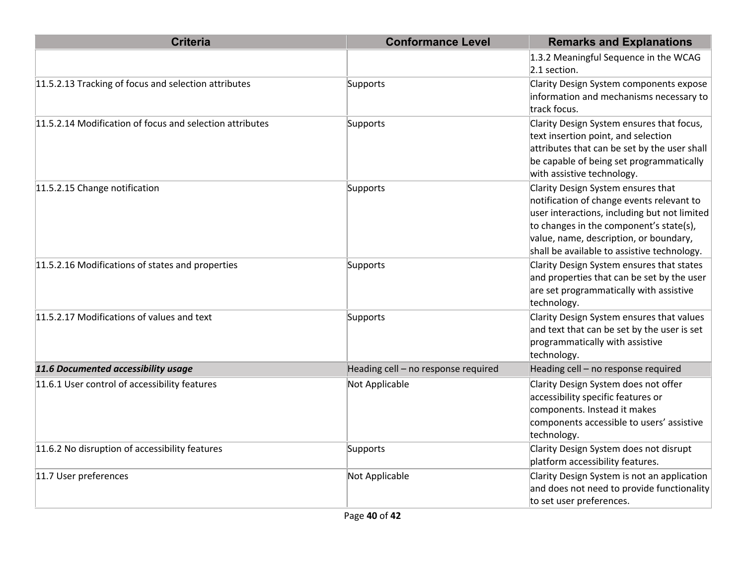| <b>Criteria</b>                                          | <b>Conformance Level</b>            | <b>Remarks and Explanations</b>                                                                                                                                                                                                                                     |
|----------------------------------------------------------|-------------------------------------|---------------------------------------------------------------------------------------------------------------------------------------------------------------------------------------------------------------------------------------------------------------------|
|                                                          |                                     | 1.3.2 Meaningful Sequence in the WCAG<br>$2.1$ section.                                                                                                                                                                                                             |
| 11.5.2.13 Tracking of focus and selection attributes     | Supports                            | Clarity Design System components expose<br>information and mechanisms necessary to<br>track focus.                                                                                                                                                                  |
| 11.5.2.14 Modification of focus and selection attributes | Supports                            | Clarity Design System ensures that focus,<br>text insertion point, and selection<br>attributes that can be set by the user shall<br>be capable of being set programmatically<br>with assistive technology.                                                          |
| 11.5.2.15 Change notification                            | Supports                            | Clarity Design System ensures that<br>notification of change events relevant to<br>user interactions, including but not limited<br>to changes in the component's state(s),<br>value, name, description, or boundary,<br>shall be available to assistive technology. |
| 11.5.2.16 Modifications of states and properties         | Supports                            | Clarity Design System ensures that states<br>and properties that can be set by the user<br>are set programmatically with assistive<br>technology.                                                                                                                   |
| 11.5.2.17 Modifications of values and text               | Supports                            | Clarity Design System ensures that values<br>and text that can be set by the user is set<br>programmatically with assistive<br>technology.                                                                                                                          |
| 11.6 Documented accessibility usage                      | Heading cell - no response required | Heading cell - no response required                                                                                                                                                                                                                                 |
| 11.6.1 User control of accessibility features            | Not Applicable                      | Clarity Design System does not offer<br>accessibility specific features or<br>components. Instead it makes<br>components accessible to users' assistive<br>technology.                                                                                              |
| 11.6.2 No disruption of accessibility features           | Supports                            | Clarity Design System does not disrupt<br>platform accessibility features.                                                                                                                                                                                          |
| 11.7 User preferences                                    | Not Applicable                      | Clarity Design System is not an application<br>and does not need to provide functionality<br>to set user preferences.                                                                                                                                               |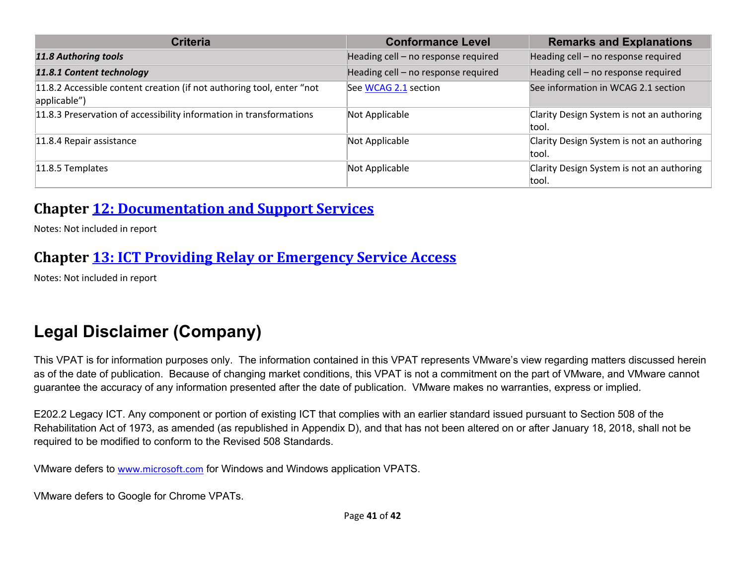| <b>Criteria</b>                                                                       | <b>Conformance Level</b>            | <b>Remarks and Explanations</b>                    |
|---------------------------------------------------------------------------------------|-------------------------------------|----------------------------------------------------|
| <b>11.8 Authoring tools</b>                                                           | Heading cell - no response required | Heading cell - no response required                |
| 11.8.1 Content technology                                                             | Heading cell - no response required | Heading cell - no response required                |
| 11.8.2 Accessible content creation (if not authoring tool, enter "not<br>applicable") | See WCAG 2.1 section                | See information in WCAG 2.1 section                |
| 11.8.3 Preservation of accessibility information in transformations                   | Not Applicable                      | Clarity Design System is not an authoring<br>tool. |
| 11.8.4 Repair assistance                                                              | Not Applicable                      | Clarity Design System is not an authoring<br>tool. |
| 11.8.5 Templates                                                                      | Not Applicable                      | Clarity Design System is not an authoring<br>tool. |

#### **Chapter 12: Documentation and Support Services**

Notes: Not included in report

## **Chapter 13: ICT Providing Relay or Emergency Service Access**

Notes: Not included in report

# **Legal Disclaimer (Company)**

This VPAT is for information purposes only. The information contained in this VPAT represents VMware's view regarding matters discussed herein as of the date of publication. Because of changing market conditions, this VPAT is not a commitment on the part of VMware, and VMware cannot guarantee the accuracy of any information presented after the date of publication. VMware makes no warranties, express or implied.

E202.2 Legacy ICT. Any component or portion of existing ICT that complies with an earlier standard issued pursuant to Section 508 of the Rehabilitation Act of 1973, as amended (as republished in Appendix D), and that has not been altered on or after January 18, 2018, shall not be required to be modified to conform to the Revised 508 Standards.

VMware defers to www.microsoft.com for Windows and Windows application VPATS.

VMware defers to Google for Chrome VPATs.